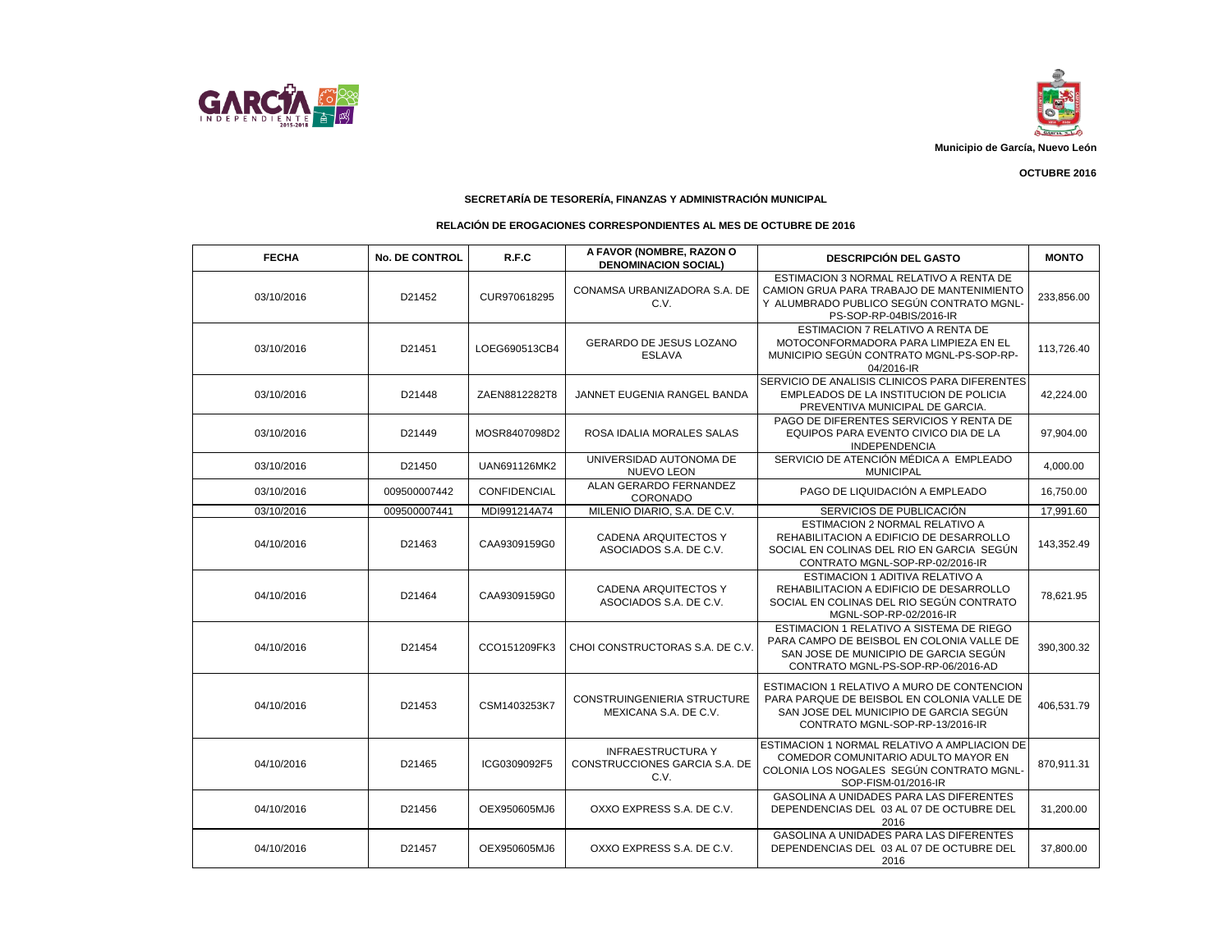



 **OCTUBRE 2016**

## **SECRETARÍA DE TESORERÍA, FINANZAS Y ADMINISTRACIÓN MUNICIPAL**

## **RELACIÓN DE EROGACIONES CORRESPONDIENTES AL MES DE OCTUBRE DE 2016**

| <b>FECHA</b> | <b>No. DE CONTROL</b> | R.F.C               | A FAVOR (NOMBRE, RAZON O<br><b>DENOMINACION SOCIAL)</b>           | <b>DESCRIPCIÓN DEL GASTO</b>                                                                                                                                          | <b>MONTO</b> |
|--------------|-----------------------|---------------------|-------------------------------------------------------------------|-----------------------------------------------------------------------------------------------------------------------------------------------------------------------|--------------|
| 03/10/2016   | D21452                | CUR970618295        | CONAMSA URBANIZADORA S.A. DE<br>C.V.                              | ESTIMACION 3 NORMAL RELATIVO A RENTA DE<br>CAMION GRUA PARA TRABAJO DE MANTENIMIENTO<br>Y ALUMBRADO PUBLICO SEGÚN CONTRATO MGNL-<br>PS-SOP-RP-04BIS/2016-IR           | 233,856.00   |
| 03/10/2016   | D21451                | LOEG690513CB4       | GERARDO DE JESUS LOZANO<br><b>ESLAVA</b>                          | ESTIMACION 7 RELATIVO A RENTA DE<br>MOTOCONFORMADORA PARA LIMPIEZA EN EL<br>MUNICIPIO SEGÚN CONTRATO MGNL-PS-SOP-RP-<br>04/2016-IR                                    | 113,726.40   |
| 03/10/2016   | D21448                | ZAEN8812282T8       | JANNET EUGENIA RANGEL BANDA                                       | SERVICIO DE ANALISIS CLINICOS PARA DIFERENTES<br>EMPLEADOS DE LA INSTITUCION DE POLICIA<br>PREVENTIVA MUNICIPAL DE GARCIA.                                            | 42,224.00    |
| 03/10/2016   | D21449                | MOSR8407098D2       | ROSA IDALIA MORALES SALAS                                         | PAGO DE DIFERENTES SERVICIOS Y RENTA DE<br>EQUIPOS PARA EVENTO CIVICO DIA DE LA<br><b>INDEPENDENCIA</b>                                                               | 97,904.00    |
| 03/10/2016   | D21450                | UAN691126MK2        | UNIVERSIDAD AUTONOMA DE<br><b>NUEVO LEON</b>                      | SERVICIO DE ATENCIÓN MÉDICA A EMPLEADO<br><b>MUNICIPAL</b>                                                                                                            | 4,000.00     |
| 03/10/2016   | 009500007442          | <b>CONFIDENCIAL</b> | ALAN GERARDO FERNANDEZ<br>CORONADO                                | PAGO DE LIQUIDACIÓN A EMPLEADO                                                                                                                                        | 16,750.00    |
| 03/10/2016   | 009500007441          | MDI991214A74        | MILENIO DIARIO, S.A. DE C.V.                                      | SERVICIOS DE PUBLICACIÓN                                                                                                                                              | 17,991.60    |
| 04/10/2016   | D21463                | CAA9309159G0        | <b>CADENA ARQUITECTOS Y</b><br>ASOCIADOS S.A. DE C.V.             | <b>ESTIMACION 2 NORMAL RELATIVO A</b><br>REHABILITACION A EDIFICIO DE DESARROLLO<br>SOCIAL EN COLINAS DEL RIO EN GARCIA SEGÚN<br>CONTRATO MGNL-SOP-RP-02/2016-IR      | 143,352.49   |
| 04/10/2016   | D21464                | CAA9309159G0        | <b>CADENA ARQUITECTOS Y</b><br>ASOCIADOS S.A. DE C.V.             | ESTIMACION 1 ADITIVA RELATIVO A<br>REHABILITACION A EDIFICIO DE DESARROLLO<br>SOCIAL EN COLINAS DEL RIO SEGÚN CONTRATO<br>MGNL-SOP-RP-02/2016-IR                      | 78,621.95    |
| 04/10/2016   | D21454                | CCO151209FK3        | CHOI CONSTRUCTORAS S.A. DE C.V.                                   | ESTIMACION 1 RELATIVO A SISTEMA DE RIEGO<br>PARA CAMPO DE BEISBOL EN COLONIA VALLE DE<br>SAN JOSE DE MUNICIPIO DE GARCIA SEGÚN<br>CONTRATO MGNL-PS-SOP-RP-06/2016-AD  | 390,300.32   |
| 04/10/2016   | D21453                | CSM1403253K7        | <b>CONSTRUINGENIERIA STRUCTURE</b><br>MEXICANA S.A. DE C.V.       | ESTIMACION 1 RELATIVO A MURO DE CONTENCION<br>PARA PARQUE DE BEISBOL EN COLONIA VALLE DE<br>SAN JOSE DEL MUNICIPIO DE GARCIA SEGÚN<br>CONTRATO MGNL-SOP-RP-13/2016-IR | 406,531.79   |
| 04/10/2016   | D21465                | ICG0309092F5        | <b>INFRAESTRUCTURA Y</b><br>CONSTRUCCIONES GARCIA S.A. DE<br>C.V. | ESTIMACION 1 NORMAL RELATIVO A AMPLIACION DE<br>COMEDOR COMUNITARIO ADULTO MAYOR EN<br>COLONIA LOS NOGALES SEGÚN CONTRATO MGNL-<br>SOP-FISM-01/2016-IR                | 870,911.31   |
| 04/10/2016   | D21456                | OEX950605MJ6        | OXXO EXPRESS S.A. DE C.V.                                         | GASOLINA A UNIDADES PARA LAS DIFERENTES<br>DEPENDENCIAS DEL 03 AL 07 DE OCTUBRE DEL<br>2016                                                                           | 31,200.00    |
| 04/10/2016   | D21457                | OEX950605MJ6        | OXXO EXPRESS S.A. DE C.V.                                         | <b>GASOLINA A UNIDADES PARA LAS DIFERENTES</b><br>DEPENDENCIAS DEL 03 AL 07 DE OCTUBRE DEL<br>2016                                                                    | 37,800.00    |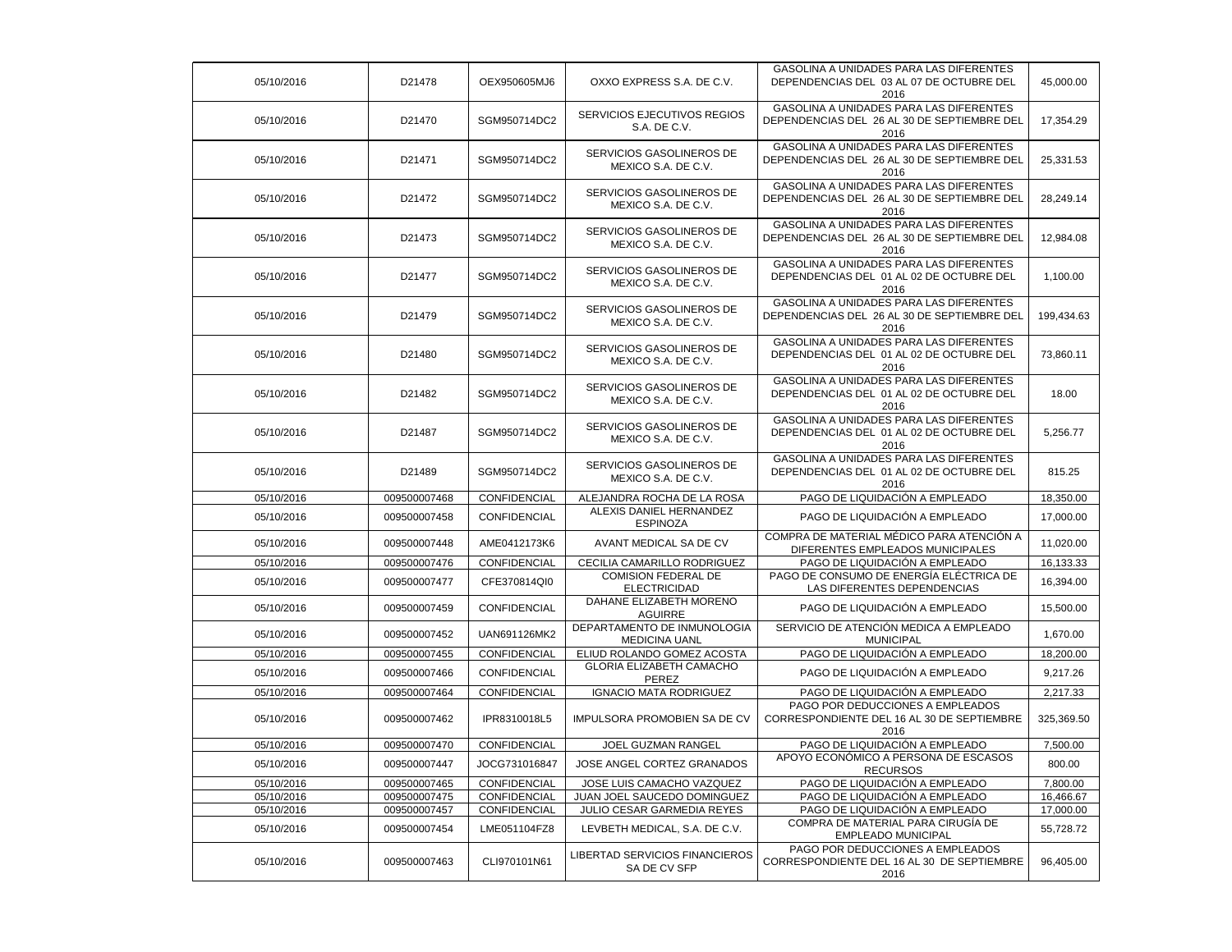| 05/10/2016 | D21478       | OEX950605MJ6  | OXXO EXPRESS S.A. DE C.V.                         | GASOLINA A UNIDADES PARA LAS DIFERENTES<br>DEPENDENCIAS DEL 03 AL 07 DE OCTUBRE DEL<br>2016    | 45,000.00  |
|------------|--------------|---------------|---------------------------------------------------|------------------------------------------------------------------------------------------------|------------|
| 05/10/2016 | D21470       | SGM950714DC2  | SERVICIOS EJECUTIVOS REGIOS<br>S.A. DE C.V.       | GASOLINA A UNIDADES PARA LAS DIFERENTES<br>DEPENDENCIAS DEL 26 AL 30 DE SEPTIEMBRE DEL<br>2016 | 17,354.29  |
| 05/10/2016 | D21471       | SGM950714DC2  | SERVICIOS GASOLINEROS DE<br>MEXICO S.A. DE C.V.   | GASOLINA A UNIDADES PARA LAS DIFERENTES<br>DEPENDENCIAS DEL 26 AL 30 DE SEPTIEMBRE DEL<br>2016 | 25,331.53  |
| 05/10/2016 | D21472       | SGM950714DC2  | SERVICIOS GASOLINEROS DE<br>MEXICO S.A. DE C.V.   | GASOLINA A UNIDADES PARA LAS DIFERENTES<br>DEPENDENCIAS DEL 26 AL 30 DE SEPTIEMBRE DEL<br>2016 | 28,249.14  |
| 05/10/2016 | D21473       | SGM950714DC2  | SERVICIOS GASOLINEROS DE<br>MEXICO S.A. DE C.V.   | GASOLINA A UNIDADES PARA LAS DIFERENTES<br>DEPENDENCIAS DEL 26 AL 30 DE SEPTIEMBRE DEL<br>2016 | 12,984.08  |
| 05/10/2016 | D21477       | SGM950714DC2  | SERVICIOS GASOLINEROS DE<br>MEXICO S.A. DE C.V.   | GASOLINA A UNIDADES PARA LAS DIFERENTES<br>DEPENDENCIAS DEL 01 AL 02 DE OCTUBRE DEL<br>2016    | 1,100.00   |
| 05/10/2016 | D21479       | SGM950714DC2  | SERVICIOS GASOLINEROS DE<br>MEXICO S.A. DE C.V.   | GASOLINA A UNIDADES PARA LAS DIFERENTES<br>DEPENDENCIAS DEL 26 AL 30 DE SEPTIEMBRE DEL<br>2016 | 199,434.63 |
| 05/10/2016 | D21480       | SGM950714DC2  | SERVICIOS GASOLINEROS DE<br>MEXICO S.A. DE C.V.   | GASOLINA A UNIDADES PARA LAS DIFERENTES<br>DEPENDENCIAS DEL 01 AL 02 DE OCTUBRE DEL<br>2016    | 73,860.11  |
| 05/10/2016 | D21482       | SGM950714DC2  | SERVICIOS GASOLINEROS DE<br>MEXICO S.A. DE C.V.   | GASOLINA A UNIDADES PARA LAS DIFERENTES<br>DEPENDENCIAS DEL 01 AL 02 DE OCTUBRE DEL<br>2016    | 18.00      |
| 05/10/2016 | D21487       | SGM950714DC2  | SERVICIOS GASOLINEROS DE<br>MEXICO S.A. DE C.V.   | GASOLINA A UNIDADES PARA LAS DIFERENTES<br>DEPENDENCIAS DEL 01 AL 02 DE OCTUBRE DEL<br>2016    | 5,256.77   |
| 05/10/2016 | D21489       | SGM950714DC2  | SERVICIOS GASOLINEROS DE<br>MEXICO S.A. DE C.V.   | GASOLINA A UNIDADES PARA LAS DIFERENTES<br>DEPENDENCIAS DEL 01 AL 02 DE OCTUBRE DEL<br>2016    | 815.25     |
| 05/10/2016 | 009500007468 | CONFIDENCIAL  | ALEJANDRA ROCHA DE LA ROSA                        | PAGO DE LIQUIDACIÓN A EMPLEADO                                                                 | 18,350.00  |
| 05/10/2016 | 009500007458 | CONFIDENCIAL  | ALEXIS DANIEL HERNANDEZ<br><b>ESPINOZA</b>        | PAGO DE LIQUIDACIÓN A EMPLEADO                                                                 | 17,000.00  |
| 05/10/2016 | 009500007448 | AME0412173K6  | AVANT MEDICAL SA DE CV                            | COMPRA DE MATERIAL MÉDICO PARA ATENCIÓN A<br>DIFERENTES EMPLEADOS MUNICIPALES                  | 11,020.00  |
| 05/10/2016 | 009500007476 | CONFIDENCIAL  | CECILIA CAMARILLO RODRIGUEZ                       | PAGO DE LIQUIDACIÓN A EMPLEADO                                                                 | 16,133.33  |
| 05/10/2016 | 009500007477 | CFE370814QI0  | <b>COMISION FEDERAL DE</b><br><b>ELECTRICIDAD</b> | PAGO DE CONSUMO DE ENERGÍA ELÉCTRICA DE<br>LAS DIFERENTES DEPENDENCIAS                         | 16,394.00  |
| 05/10/2016 | 009500007459 | CONFIDENCIAL  | DAHANE ELIZABETH MORENO<br><b>AGUIRRE</b>         | PAGO DE LIQUIDACIÓN A EMPLEADO                                                                 | 15,500.00  |
| 05/10/2016 | 009500007452 | UAN691126MK2  | DEPARTAMENTO DE INMUNOLOGIA<br>MEDICINA UANL      | SERVICIO DE ATENCIÓN MEDICA A EMPLEADO<br><b>MUNICIPAL</b>                                     | 1,670.00   |
| 05/10/2016 | 009500007455 | CONFIDENCIAL  | ELIUD ROLANDO GOMEZ ACOSTA                        | PAGO DE LIQUIDACIÓN A EMPLEADO                                                                 | 18,200.00  |
| 05/10/2016 | 009500007466 | CONFIDENCIAL  | GLORIA ELIZABETH CAMACHO<br>PEREZ                 | PAGO DE LIQUIDACIÓN A EMPLEADO                                                                 | 9,217.26   |
| 05/10/2016 | 009500007464 | CONFIDENCIAL  | <b>IGNACIO MATA RODRIGUEZ</b>                     | PAGO DE LIQUIDACIÓN A EMPLEADO                                                                 | 2,217.33   |
| 05/10/2016 | 009500007462 | IPR8310018L5  | IMPULSORA PROMOBIEN SA DE CV                      | PAGO POR DEDUCCIONES A EMPLEADOS<br>CORRESPONDIENTE DEL 16 AL 30 DE SEPTIEMBRE<br>2016         | 325,369.50 |
| 05/10/2016 | 009500007470 | CONFIDENCIAL  | JOEL GUZMAN RANGEL                                | PAGO DE LIQUIDACIÓN A EMPLEADO                                                                 | 7,500.00   |
| 05/10/2016 | 009500007447 | JOCG731016847 | JOSE ANGEL CORTEZ GRANADOS                        | APOYO ECONÓMICO A PERSONA DE ESCASOS<br><b>RECURSOS</b>                                        | 800.00     |
| 05/10/2016 | 009500007465 | CONFIDENCIAL  | JOSE LUIS CAMACHO VAZQUEZ                         | PAGO DE LIQUIDACIÓN A EMPLEADO                                                                 | 7,800.00   |
| 05/10/2016 | 009500007475 | CONFIDENCIAL  | JUAN JOEL SAUCEDO DOMINGUEZ                       | PAGO DE LIQUIDACIÓN A EMPLEADO                                                                 | 16,466.67  |
| 05/10/2016 | 009500007457 | CONFIDENCIAL  | JULIO CESAR GARMEDIA REYES                        | PAGO DE LIQUIDACIÓN A EMPLEADO                                                                 | 17,000.00  |
| 05/10/2016 | 009500007454 | LME051104FZ8  | LEVBETH MEDICAL, S.A. DE C.V.                     | COMPRA DE MATERIAL PARA CIRUGÍA DE<br><b>EMPLEADO MUNICIPAL</b>                                | 55,728.72  |
| 05/10/2016 | 009500007463 | CLI970101N61  | LIBERTAD SERVICIOS FINANCIEROS<br>SA DE CV SFP    | PAGO POR DEDUCCIONES A EMPLEADOS<br>CORRESPONDIENTE DEL 16 AL 30 DE SEPTIEMBRE<br>2016         | 96,405.00  |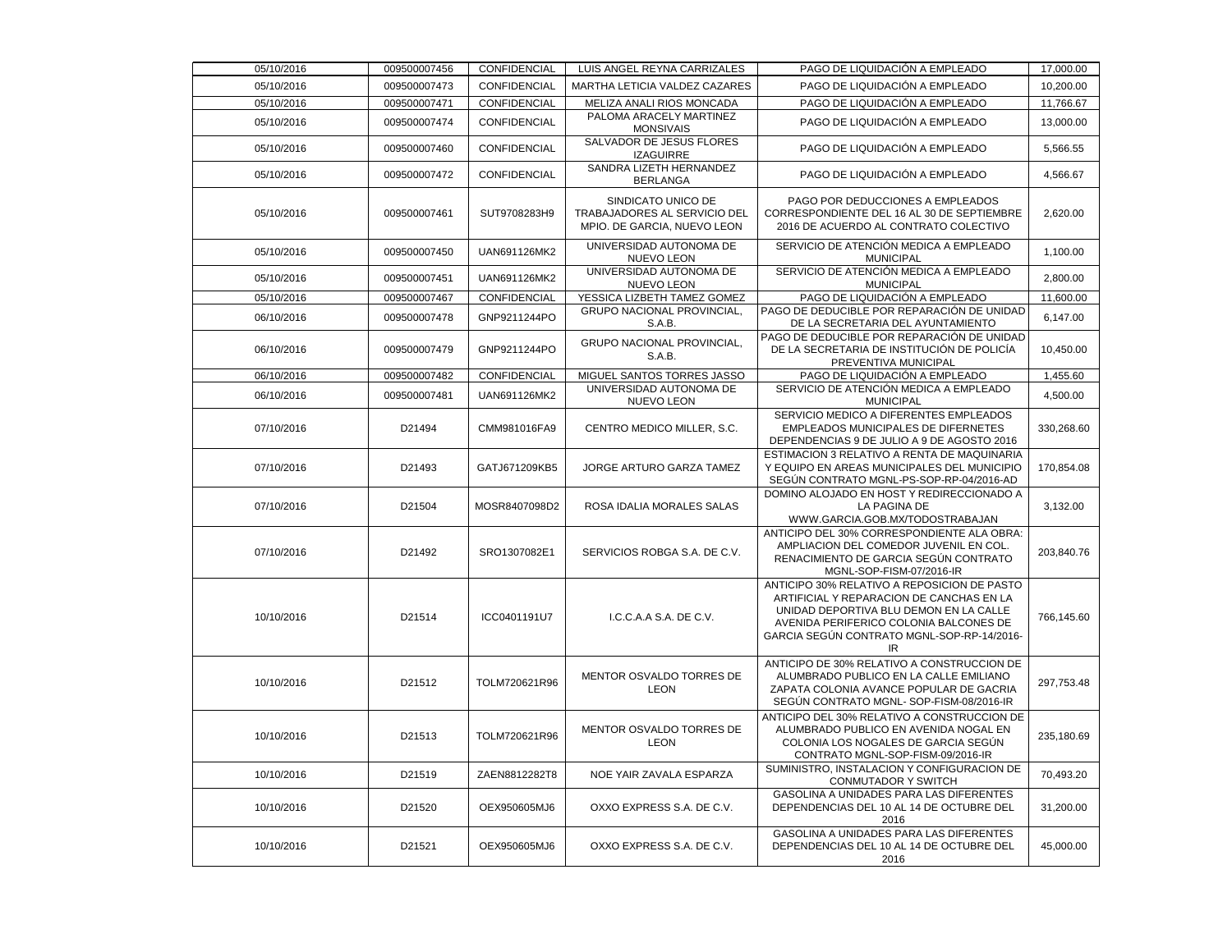| 05/10/2016 | 009500007456 | CONFIDENCIAL        | LUIS ANGEL REYNA CARRIZALES                                                       | PAGO DE LIQUIDACIÓN A EMPLEADO                                                                                                                                                                                                  | 17,000.00  |
|------------|--------------|---------------------|-----------------------------------------------------------------------------------|---------------------------------------------------------------------------------------------------------------------------------------------------------------------------------------------------------------------------------|------------|
| 05/10/2016 | 009500007473 | <b>CONFIDENCIAL</b> | MARTHA LETICIA VALDEZ CAZARES                                                     | PAGO DE LIQUIDACIÓN A EMPLEADO                                                                                                                                                                                                  | 10,200.00  |
| 05/10/2016 | 009500007471 | CONFIDENCIAL        | MELIZA ANALI RIOS MONCADA                                                         | PAGO DE LIQUIDACIÓN A EMPLEADO                                                                                                                                                                                                  | 11,766.67  |
| 05/10/2016 | 009500007474 | CONFIDENCIAL        | PALOMA ARACELY MARTINEZ<br><b>MONSIVAIS</b>                                       | PAGO DE LIQUIDACIÓN A EMPLEADO                                                                                                                                                                                                  | 13,000.00  |
| 05/10/2016 | 009500007460 | CONFIDENCIAL        | SALVADOR DE JESUS FLORES<br><b>IZAGUIRRE</b>                                      | PAGO DE LIQUIDACIÓN A EMPLEADO                                                                                                                                                                                                  | 5,566.55   |
| 05/10/2016 | 009500007472 | <b>CONFIDENCIAL</b> | SANDRA LIZETH HERNANDEZ<br><b>BERLANGA</b>                                        | PAGO DE LIQUIDACIÓN A EMPLEADO                                                                                                                                                                                                  | 4,566.67   |
| 05/10/2016 | 009500007461 | SUT9708283H9        | SINDICATO UNICO DE<br>TRABAJADORES AL SERVICIO DEL<br>MPIO. DE GARCIA, NUEVO LEON | PAGO POR DEDUCCIONES A EMPLEADOS<br>CORRESPONDIENTE DEL 16 AL 30 DE SEPTIEMBRE<br>2016 DE ACUERDO AL CONTRATO COLECTIVO                                                                                                         | 2,620.00   |
| 05/10/2016 | 009500007450 | UAN691126MK2        | UNIVERSIDAD AUTONOMA DE<br><b>NUEVO LEON</b>                                      | SERVICIO DE ATENCIÓN MEDICA A EMPLEADO<br><b>MUNICIPAL</b>                                                                                                                                                                      | 1,100.00   |
| 05/10/2016 | 009500007451 | UAN691126MK2        | UNIVERSIDAD AUTONOMA DE<br><b>NUEVO LEON</b>                                      | SERVICIO DE ATENCIÓN MEDICA A EMPLEADO<br><b>MUNICIPAL</b>                                                                                                                                                                      | 2,800.00   |
| 05/10/2016 | 009500007467 | CONFIDENCIAL        | YESSICA LIZBETH TAMEZ GOMEZ                                                       | PAGO DE LIQUIDACIÓN A EMPLEADO                                                                                                                                                                                                  | 11,600.00  |
| 06/10/2016 | 009500007478 | GNP9211244PO        | GRUPO NACIONAL PROVINCIAL,<br>S.A.B.                                              | PAGO DE DEDUCIBLE POR REPARACIÓN DE UNIDAD<br>DE LA SECRETARIA DEL AYUNTAMIENTO                                                                                                                                                 | 6,147.00   |
| 06/10/2016 | 009500007479 | GNP9211244PO        | GRUPO NACIONAL PROVINCIAL,<br>S.A.B.                                              | PAGO DE DEDUCIBLE POR REPARACIÓN DE UNIDAD<br>DE LA SECRETARIA DE INSTITUCIÓN DE POLICÍA<br>PREVENTIVA MUNICIPAL                                                                                                                | 10,450.00  |
| 06/10/2016 | 009500007482 | CONFIDENCIAL        | MIGUEL SANTOS TORRES JASSO                                                        | PAGO DE LIQUIDACIÓN A EMPLEADO                                                                                                                                                                                                  | 1,455.60   |
| 06/10/2016 | 009500007481 | UAN691126MK2        | UNIVERSIDAD AUTONOMA DE<br><b>NUEVO LEON</b>                                      | SERVICIO DE ATENCIÓN MEDICA A EMPLEADO<br><b>MUNICIPAL</b>                                                                                                                                                                      | 4,500.00   |
| 07/10/2016 | D21494       | CMM981016FA9        | CENTRO MEDICO MILLER, S.C.                                                        | SERVICIO MEDICO A DIFERENTES EMPLEADOS<br>EMPLEADOS MUNICIPALES DE DIFERNETES<br>DEPENDENCIAS 9 DE JULIO A 9 DE AGOSTO 2016                                                                                                     | 330,268.60 |
| 07/10/2016 | D21493       | GATJ671209KB5       | JORGE ARTURO GARZA TAMEZ                                                          | ESTIMACION 3 RELATIVO A RENTA DE MAQUINARIA<br>Y EQUIPO EN AREAS MUNICIPALES DEL MUNICIPIO<br>SEGÚN CONTRATO MGNL-PS-SOP-RP-04/2016-AD                                                                                          | 170,854.08 |
| 07/10/2016 | D21504       | MOSR8407098D2       | ROSA IDALIA MORALES SALAS                                                         | DOMINO ALOJADO EN HOST Y REDIRECCIONADO A<br>LA PAGINA DE<br>WWW.GARCIA.GOB.MX/TODOSTRABAJAN                                                                                                                                    | 3,132.00   |
| 07/10/2016 | D21492       | SRO1307082E1        | SERVICIOS ROBGA S.A. DE C.V.                                                      | ANTICIPO DEL 30% CORRESPONDIENTE ALA OBRA:<br>AMPLIACION DEL COMEDOR JUVENIL EN COL.<br>RENACIMIENTO DE GARCIA SEGÚN CONTRATO<br>MGNL-SOP-FISM-07/2016-IR                                                                       | 203,840.76 |
| 10/10/2016 | D21514       | ICC0401191U7        | I.C.C.A.A S.A. DE C.V.                                                            | ANTICIPO 30% RELATIVO A REPOSICION DE PASTO<br>ARTIFICIAL Y REPARACION DE CANCHAS EN LA<br>UNIDAD DEPORTIVA BLU DEMON EN LA CALLE<br>AVENIDA PERIFERICO COLONIA BALCONES DE<br>GARCIA SEGÚN CONTRATO MGNL-SOP-RP-14/2016-<br>IR | 766,145.60 |
| 10/10/2016 | D21512       | TOLM720621R96       | MENTOR OSVALDO TORRES DE<br><b>LEON</b>                                           | ANTICIPO DE 30% RELATIVO A CONSTRUCCION DE<br>ALUMBRADO PUBLICO EN LA CALLE EMILIANO<br>ZAPATA COLONIA AVANCE POPULAR DE GACRIA<br>SEGÚN CONTRATO MGNL-SOP-FISM-08/2016-IR                                                      | 297,753.48 |
| 10/10/2016 | D21513       | TOLM720621R96       | MENTOR OSVALDO TORRES DE<br><b>LEON</b>                                           | ANTICIPO DEL 30% RELATIVO A CONSTRUCCION DE<br>ALUMBRADO PUBLICO EN AVENIDA NOGAL EN<br>COLONIA LOS NOGALES DE GARCIA SEGÚN<br>CONTRATO MGNL-SOP-FISM-09/2016-IR                                                                | 235.180.69 |
| 10/10/2016 | D21519       | ZAEN8812282T8       | NOE YAIR ZAVALA ESPARZA                                                           | SUMINISTRO, INSTALACION Y CONFIGURACION DE<br>CONMUTADOR Y SWITCH                                                                                                                                                               | 70,493.20  |
| 10/10/2016 | D21520       | OEX950605MJ6        | OXXO EXPRESS S.A. DE C.V.                                                         | GASOLINA A UNIDADES PARA LAS DIFERENTES<br>DEPENDENCIAS DEL 10 AL 14 DE OCTUBRE DEL<br>2016                                                                                                                                     | 31,200.00  |
| 10/10/2016 | D21521       | OEX950605MJ6        | OXXO EXPRESS S.A. DE C.V.                                                         | GASOLINA A UNIDADES PARA LAS DIFERENTES<br>DEPENDENCIAS DEL 10 AL 14 DE OCTUBRE DEL<br>2016                                                                                                                                     | 45,000.00  |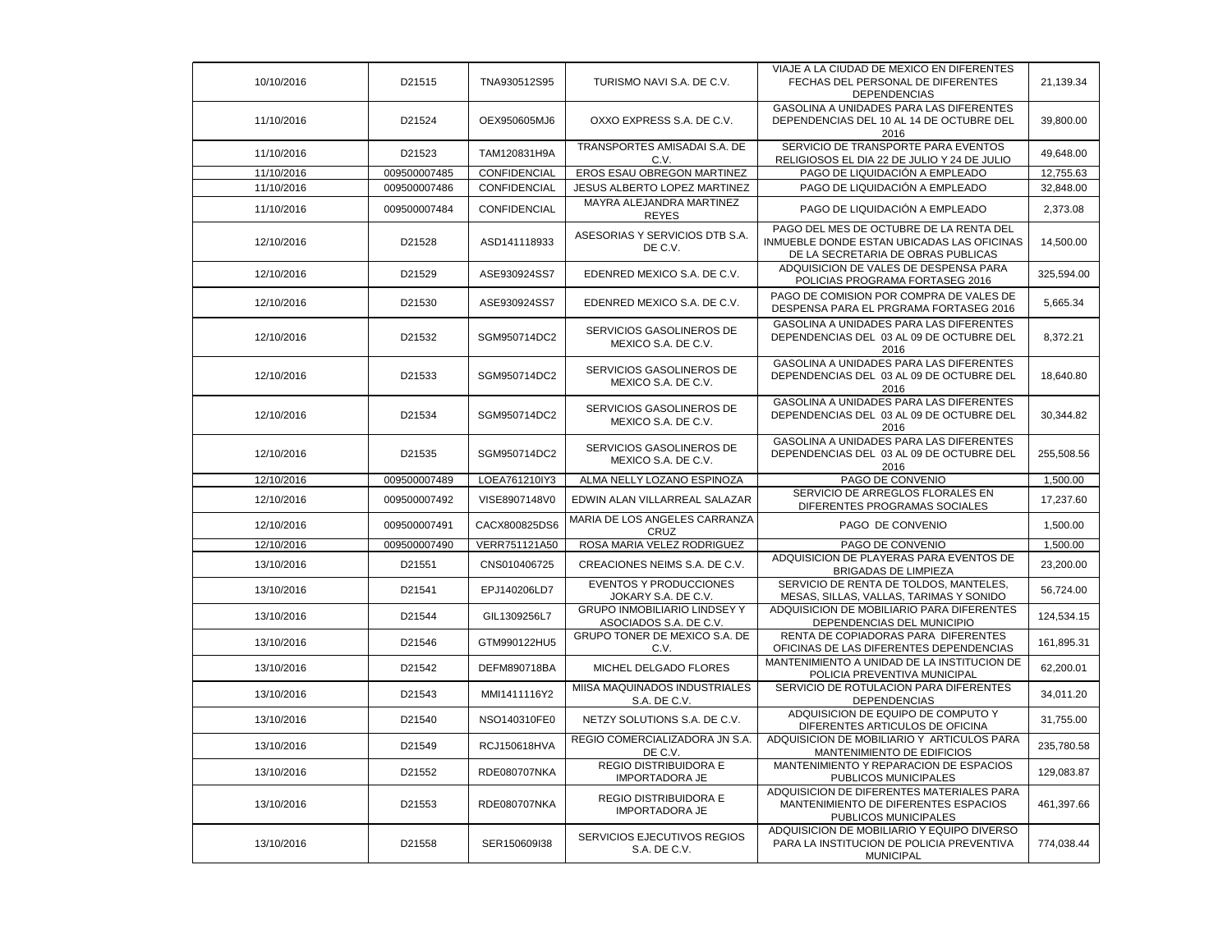| 10/10/2016 | D21515       | TNA930512S95        | TURISMO NAVI S.A. DE C.V.                              | VIAJE A LA CIUDAD DE MEXICO EN DIFERENTES<br>FECHAS DEL PERSONAL DE DIFERENTES<br><b>DEPENDENCIAS</b>                       | 21,139.34  |
|------------|--------------|---------------------|--------------------------------------------------------|-----------------------------------------------------------------------------------------------------------------------------|------------|
| 11/10/2016 | D21524       | OEX950605MJ6        | OXXO EXPRESS S.A. DE C.V.                              | <b>GASOLINA A UNIDADES PARA LAS DIFERENTES</b><br>DEPENDENCIAS DEL 10 AL 14 DE OCTUBRE DEL<br>2016                          | 39,800.00  |
| 11/10/2016 | D21523       | TAM120831H9A        | TRANSPORTES AMISADAI S.A. DE<br>C.V.                   | SERVICIO DE TRANSPORTE PARA EVENTOS<br>RELIGIOSOS EL DIA 22 DE JULIO Y 24 DE JULIO                                          | 49,648.00  |
| 11/10/2016 | 009500007485 | CONFIDENCIAL        | EROS ESAU OBREGON MARTINEZ                             | PAGO DE LIQUIDACIÓN A EMPLEADO                                                                                              | 12,755.63  |
| 11/10/2016 | 009500007486 | CONFIDENCIAL        | JESUS ALBERTO LOPEZ MARTINEZ                           | PAGO DE LIQUIDACIÓN A EMPLEADO                                                                                              | 32,848.00  |
| 11/10/2016 | 009500007484 | CONFIDENCIAL        | MAYRA ALEJANDRA MARTINEZ<br><b>REYES</b>               | PAGO DE LIQUIDACIÓN A EMPLEADO                                                                                              | 2,373.08   |
| 12/10/2016 | D21528       | ASD141118933        | ASESORIAS Y SERVICIOS DTB S.A.<br>DE C.V.              | PAGO DEL MES DE OCTUBRE DE LA RENTA DEL<br>INMUEBLE DONDE ESTAN UBICADAS LAS OFICINAS<br>DE LA SECRETARIA DE OBRAS PUBLICAS | 14,500.00  |
| 12/10/2016 | D21529       | ASE930924SS7        | EDENRED MEXICO S.A. DE C.V.                            | ADQUISICION DE VALES DE DESPENSA PARA<br>POLICIAS PROGRAMA FORTASEG 2016                                                    | 325,594.00 |
| 12/10/2016 | D21530       | ASE930924SS7        | EDENRED MEXICO S.A. DE C.V.                            | PAGO DE COMISION POR COMPRA DE VALES DE<br>DESPENSA PARA EL PRGRAMA FORTASEG 2016                                           | 5,665.34   |
| 12/10/2016 | D21532       | SGM950714DC2        | SERVICIOS GASOLINEROS DE<br>MEXICO S.A. DE C.V.        | GASOLINA A UNIDADES PARA LAS DIFERENTES<br>DEPENDENCIAS DEL 03 AL 09 DE OCTUBRE DEL<br>2016                                 | 8,372.21   |
| 12/10/2016 | D21533       | SGM950714DC2        | SERVICIOS GASOLINEROS DE<br>MEXICO S.A. DE C.V.        | <b>GASOLINA A UNIDADES PARA LAS DIFERENTES</b><br>DEPENDENCIAS DEL 03 AL 09 DE OCTUBRE DEL<br>2016                          | 18,640.80  |
| 12/10/2016 | D21534       | SGM950714DC2        | SERVICIOS GASOLINEROS DE<br>MEXICO S.A. DE C.V.        | GASOLINA A UNIDADES PARA LAS DIFERENTES<br>DEPENDENCIAS DEL 03 AL 09 DE OCTUBRE DEL<br>2016                                 | 30,344.82  |
| 12/10/2016 | D21535       | SGM950714DC2        | SERVICIOS GASOLINEROS DE<br>MEXICO S.A. DE C.V.        | GASOLINA A UNIDADES PARA LAS DIFERENTES<br>DEPENDENCIAS DEL 03 AL 09 DE OCTUBRE DEL<br>2016                                 | 255,508.56 |
| 12/10/2016 | 009500007489 | LOEA761210IY3       | ALMA NELLY LOZANO ESPINOZA                             | PAGO DE CONVENIO                                                                                                            | 1,500.00   |
| 12/10/2016 | 009500007492 | VISE8907148V0       | EDWIN ALAN VILLARREAL SALAZAR                          | SERVICIO DE ARREGLOS FLORALES EN<br>DIFERENTES PROGRAMAS SOCIALES                                                           | 17,237.60  |
| 12/10/2016 | 009500007491 | CACX800825DS6       | MARIA DE LOS ANGELES CARRANZA<br>CRUZ                  | PAGO DE CONVENIO                                                                                                            | 1,500.00   |
| 12/10/2016 | 009500007490 | VERR751121A50       | ROSA MARIA VELEZ RODRIGUEZ                             | PAGO DE CONVENIO                                                                                                            | 1,500.00   |
| 13/10/2016 | D21551       | CNS010406725        | CREACIONES NEIMS S.A. DE C.V.                          | ADQUISICION DE PLAYERAS PARA EVENTOS DE<br><b>BRIGADAS DE LIMPIEZA</b>                                                      | 23,200.00  |
| 13/10/2016 | D21541       | EPJ140206LD7        | <b>EVENTOS Y PRODUCCIONES</b><br>JOKARY S.A. DE C.V.   | SERVICIO DE RENTA DE TOLDOS, MANTELES,<br>MESAS, SILLAS, VALLAS, TARIMAS Y SONIDO                                           | 56,724.00  |
| 13/10/2016 | D21544       | GIL1309256L7        | GRUPO INMOBILIARIO LINDSEY Y<br>ASOCIADOS S.A. DE C.V. | ADQUISICION DE MOBILIARIO PARA DIFERENTES<br>DEPENDENCIAS DEL MUNICIPIO                                                     | 124,534.15 |
| 13/10/2016 | D21546       | GTM990122HU5        | GRUPO TONER DE MEXICO S.A. DE<br>C.V.                  | RENTA DE COPIADORAS PARA DIFERENTES<br>OFICINAS DE LAS DIFERENTES DEPENDENCIAS                                              | 161,895.31 |
| 13/10/2016 | D21542       | DEFM890718BA        | MICHEL DELGADO FLORES                                  | MANTENIMIENTO A UNIDAD DE LA INSTITUCION DE<br>POLICIA PREVENTIVA MUNICIPAL                                                 | 62,200.01  |
| 13/10/2016 | D21543       | MMI1411116Y2        | MIISA MAQUINADOS INDUSTRIALES<br>S.A. DE C.V.          | SERVICIO DE ROTULACION PARA DIFERENTES<br><b>DEPENDENCIAS</b>                                                               | 34,011.20  |
| 13/10/2016 | D21540       | NSO140310FE0        | NETZY SOLUTIONS S.A. DE C.V.                           | ADQUISICION DE EQUIPO DE COMPUTO Y<br>DIFERENTES ARTICULOS DE OFICINA                                                       | 31,755.00  |
| 13/10/2016 | D21549       | RCJ150618HVA        | REGIO COMERCIALIZADORA JN S.A.<br>DE C.V.              | ADQUISICION DE MOBILIARIO Y ARTICULOS PARA<br>MANTENIMIENTO DE EDIFICIOS                                                    | 235,780.58 |
| 13/10/2016 | D21552       | <b>RDE080707NKA</b> | <b>REGIO DISTRIBUIDORA E</b><br><b>IMPORTADORA JE</b>  | MANTENIMIENTO Y REPARACION DE ESPACIOS<br>PUBLICOS MUNICIPALES                                                              | 129,083.87 |
| 13/10/2016 | D21553       | RDE080707NKA        | <b>REGIO DISTRIBUIDORA E</b><br><b>IMPORTADORA JE</b>  | ADQUISICION DE DIFERENTES MATERIALES PARA<br>MANTENIMIENTO DE DIFERENTES ESPACIOS<br>PUBLICOS MUNICIPALES                   | 461,397.66 |
| 13/10/2016 | D21558       | SER150609I38        | SERVICIOS EJECUTIVOS REGIOS<br>S.A. DE C.V.            | ADQUISICION DE MOBILIARIO Y EQUIPO DIVERSO<br>PARA LA INSTITUCION DE POLICIA PREVENTIVA<br><b>MUNICIPAL</b>                 | 774,038.44 |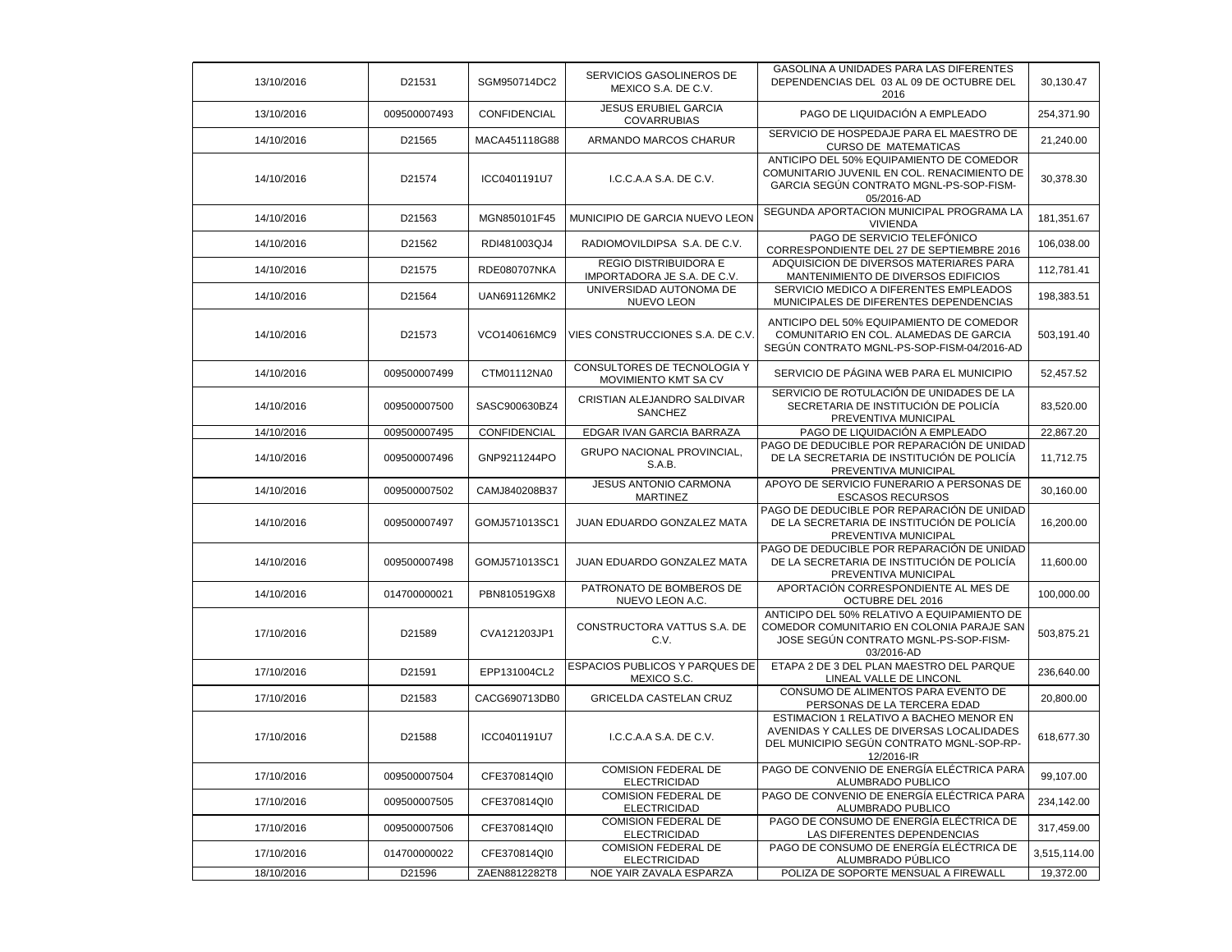| 13/10/2016 | D21531       | SGM950714DC2  | SERVICIOS GASOLINEROS DE<br>MEXICO S.A. DE C.V.      | GASOLINA A UNIDADES PARA LAS DIFERENTES<br>DEPENDENCIAS DEL 03 AL 09 DE OCTUBRE DEL<br>2016                                                      | 30,130.47    |
|------------|--------------|---------------|------------------------------------------------------|--------------------------------------------------------------------------------------------------------------------------------------------------|--------------|
| 13/10/2016 | 009500007493 | CONFIDENCIAL  | <b>JESUS ERUBIEL GARCIA</b><br><b>COVARRUBIAS</b>    | PAGO DE LIQUIDACIÓN A EMPLEADO                                                                                                                   | 254,371.90   |
| 14/10/2016 | D21565       | MACA451118G88 | ARMANDO MARCOS CHARUR                                | SERVICIO DE HOSPEDAJE PARA EL MAESTRO DE<br><b>CURSO DE MATEMATICAS</b>                                                                          | 21,240.00    |
| 14/10/2016 | D21574       | ICC0401191U7  | I.C.C.A.A S.A. DE C.V.                               | ANTICIPO DEL 50% EQUIPAMIENTO DE COMEDOR<br>COMUNITARIO JUVENIL EN COL. RENACIMIENTO DE<br>GARCIA SEGÚN CONTRATO MGNL-PS-SOP-FISM-<br>05/2016-AD | 30,378.30    |
| 14/10/2016 | D21563       | MGN850101F45  | MUNICIPIO DE GARCIA NUEVO LEON                       | SEGUNDA APORTACION MUNICIPAL PROGRAMA LA<br><b>VIVIENDA</b>                                                                                      | 181,351.67   |
| 14/10/2016 | D21562       | RDI481003QJ4  | RADIOMOVILDIPSA S.A. DE C.V.                         | PAGO DE SERVICIO TELEFÓNICO<br>CORRESPONDIENTE DEL 27 DE SEPTIEMBRE 2016                                                                         | 106,038.00   |
| 14/10/2016 | D21575       | RDE080707NKA  | REGIO DISTRIBUIDORA E<br>IMPORTADORA JE S.A. DE C.V. | ADQUISICION DE DIVERSOS MATERIARES PARA<br>MANTENIMIENTO DE DIVERSOS EDIFICIOS                                                                   | 112.781.41   |
| 14/10/2016 | D21564       | UAN691126MK2  | UNIVERSIDAD AUTONOMA DE<br><b>NUEVO LEON</b>         | SERVICIO MEDICO A DIFERENTES EMPLEADOS<br>MUNICIPALES DE DIFERENTES DEPENDENCIAS                                                                 | 198,383.51   |
| 14/10/2016 | D21573       | VCO140616MC9  | VIES CONSTRUCCIONES S.A. DE C.V.                     | ANTICIPO DEL 50% EQUIPAMIENTO DE COMEDOR<br>COMUNITARIO EN COL. ALAMEDAS DE GARCIA<br>SEGUN CONTRATO MGNL-PS-SOP-FISM-04/2016-AD                 | 503,191.40   |
| 14/10/2016 | 009500007499 | CTM01112NA0   | CONSULTORES DE TECNOLOGIA Y<br>MOVIMIENTO KMT SA CV  | SERVICIO DE PÁGINA WEB PARA EL MUNICIPIO                                                                                                         | 52,457.52    |
| 14/10/2016 | 009500007500 | SASC900630BZ4 | CRISTIAN ALEJANDRO SALDIVAR<br>SANCHEZ               | SERVICIO DE ROTULACIÓN DE UNIDADES DE LA<br>SECRETARIA DE INSTITUCIÓN DE POLICÍA<br>PREVENTIVA MUNICIPAL                                         | 83,520.00    |
| 14/10/2016 | 009500007495 | CONFIDENCIAL  | EDGAR IVAN GARCIA BARRAZA                            | PAGO DE LIQUIDACIÓN A EMPLEADO                                                                                                                   | 22,867.20    |
| 14/10/2016 | 009500007496 | GNP9211244PO  | <b>GRUPO NACIONAL PROVINCIAL,</b><br>S.A.B.          | PAGO DE DEDUCIBLE POR REPARACIÓN DE UNIDAD<br>DE LA SECRETARIA DE INSTITUCIÓN DE POLICÍA<br>PREVENTIVA MUNICIPAL                                 | 11,712.75    |
| 14/10/2016 | 009500007502 | CAMJ840208B37 | <b>JESUS ANTONIO CARMONA</b><br><b>MARTINEZ</b>      | APOYO DE SERVICIO FUNERARIO A PERSONAS DE<br><b>ESCASOS RECURSOS</b>                                                                             | 30,160.00    |
| 14/10/2016 | 009500007497 | GOMJ571013SC1 | JUAN EDUARDO GONZALEZ MATA                           | PAGO DE DEDUCIBLE POR REPARACIÓN DE UNIDAD<br>DE LA SECRETARIA DE INSTITUCIÓN DE POLICÍA<br>PREVENTIVA MUNICIPAL                                 | 16,200.00    |
| 14/10/2016 | 009500007498 | GOMJ571013SC1 | JUAN EDUARDO GONZALEZ MATA                           | PAGO DE DEDUCIBLE POR REPARACIÓN DE UNIDAD<br>DE LA SECRETARIA DE INSTITUCIÓN DE POLICÍA<br>PREVENTIVA MUNICIPAL                                 | 11,600.00    |
| 14/10/2016 | 014700000021 | PBN810519GX8  | PATRONATO DE BOMBEROS DE<br>NUEVO LEON A.C.          | APORTACIÓN CORRESPONDIENTE AL MES DE<br>OCTUBRE DEL 2016                                                                                         | 100,000.00   |
| 17/10/2016 | D21589       | CVA121203JP1  | CONSTRUCTORA VATTUS S.A. DE<br>C.V.                  | ANTICIPO DEL 50% RELATIVO A EQUIPAMIENTO DE<br>COMEDOR COMUNITARIO EN COLONIA PARAJE SAN<br>JOSE SEGÚN CONTRATO MGNL-PS-SOP-FISM-<br>03/2016-AD  | 503,875.21   |
| 17/10/2016 | D21591       | EPP131004CL2  | ESPACIOS PUBLICOS Y PARQUES DE<br>MEXICO S.C.        | ETAPA 2 DE 3 DEL PLAN MAESTRO DEL PARQUE<br>LINEAL VALLE DE LINCONL                                                                              | 236,640.00   |
| 17/10/2016 | D21583       | CACG690713DB0 | GRICELDA CASTELAN CRUZ                               | CONSUMO DE ALIMENTOS PARA EVENTO DE<br>PERSONAS DE LA TERCERA EDAD                                                                               | 20,800.00    |
| 17/10/2016 | D21588       | ICC0401191U7  | I.C.C.A.A S.A. DE C.V.                               | ESTIMACION 1 RELATIVO A BACHEO MENOR EN<br>AVENIDAS Y CALLES DE DIVERSAS LOCALIDADES<br>DEL MUNICIPIO SEGÚN CONTRATO MGNL-SOP-RP-<br>12/2016-IR  | 618,677.30   |
| 17/10/2016 | 009500007504 | CFE370814QI0  | <b>COMISION FEDERAL DE</b><br><b>ELECTRICIDAD</b>    | PAGO DE CONVENIO DE ENERGÍA ELÉCTRICA PARA<br>ALUMBRADO PUBLICO                                                                                  | 99,107.00    |
| 17/10/2016 | 009500007505 | CFE370814QI0  | <b>COMISION FEDERAL DE</b><br><b>ELECTRICIDAD</b>    | PAGO DE CONVENIO DE ENERGÍA ELÉCTRICA PARA<br>ALUMBRADO PUBLICO                                                                                  | 234.142.00   |
| 17/10/2016 | 009500007506 | CFE370814QI0  | <b>COMISION FEDERAL DE</b><br><b>ELECTRICIDAD</b>    | PAGO DE CONSUMO DE ENERGÍA ELÉCTRICA DE<br>LAS DIFERENTES DEPENDENCIAS                                                                           | 317,459.00   |
| 17/10/2016 | 014700000022 | CFE370814QI0  | <b>COMISION FEDERAL DE</b><br><b>ELECTRICIDAD</b>    | PAGO DE CONSUMO DE ENERGÍA ELÉCTRICA DE<br>ALUMBRADO PÚBLICO                                                                                     | 3,515,114.00 |
| 18/10/2016 | D21596       | ZAEN8812282T8 | NOE YAIR ZAVALA ESPARZA                              | POLIZA DE SOPORTE MENSUAL A FIREWALL                                                                                                             | 19,372.00    |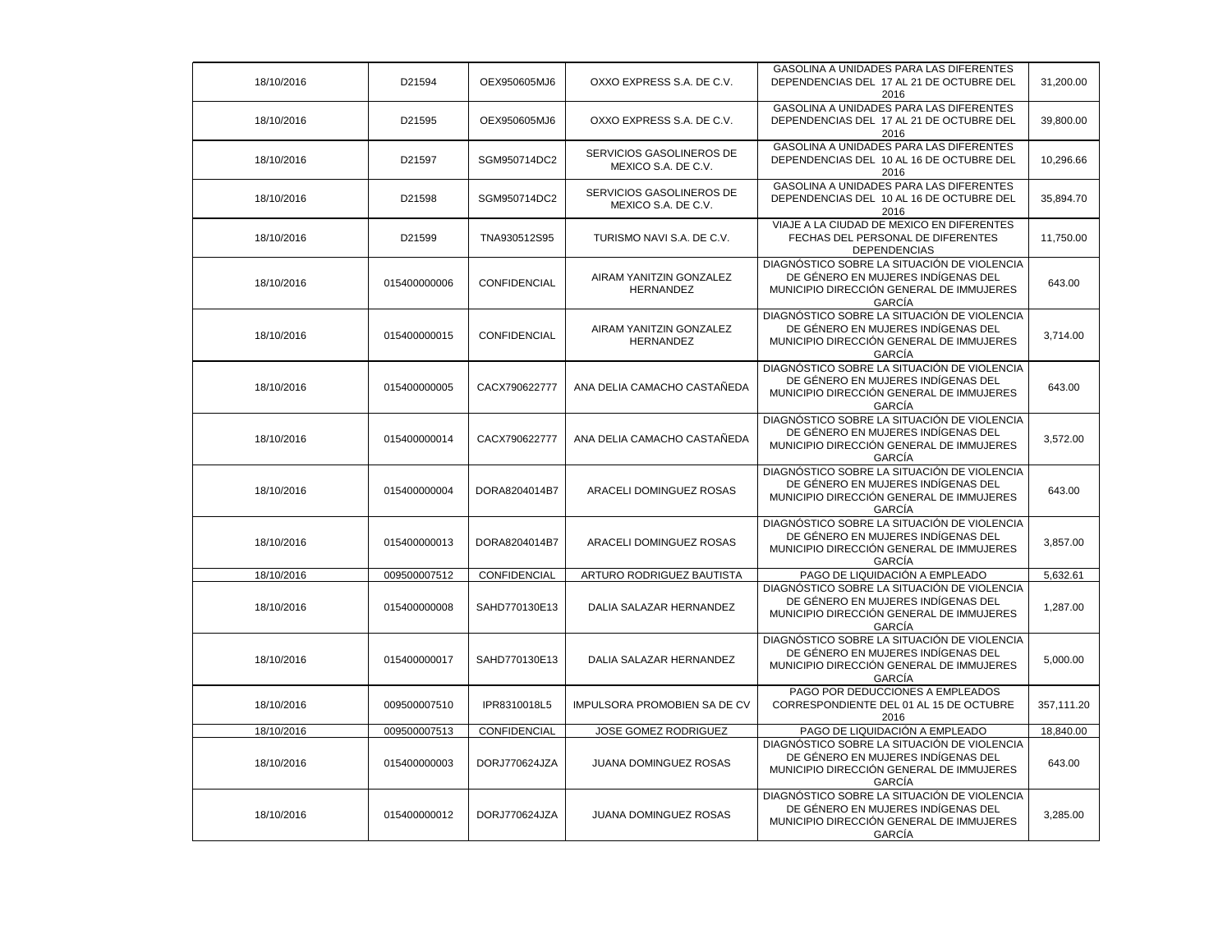| 18/10/2016 | D21594       | OEX950605MJ6  | OXXO EXPRESS S.A. DE C.V.                       | GASOLINA A UNIDADES PARA LAS DIFERENTES<br>DEPENDENCIAS DEL 17 AL 21 DE OCTUBRE DEL<br>2016                                                    | 31,200.00  |
|------------|--------------|---------------|-------------------------------------------------|------------------------------------------------------------------------------------------------------------------------------------------------|------------|
| 18/10/2016 | D21595       | OEX950605MJ6  | OXXO EXPRESS S.A. DE C.V.                       | GASOLINA A UNIDADES PARA LAS DIFERENTES<br>DEPENDENCIAS DEL 17 AL 21 DE OCTUBRE DEL<br>2016                                                    | 39,800.00  |
| 18/10/2016 | D21597       | SGM950714DC2  | SERVICIOS GASOLINEROS DE<br>MEXICO S.A. DE C.V. | GASOLINA A UNIDADES PARA LAS DIFERENTES<br>DEPENDENCIAS DEL 10 AL 16 DE OCTUBRE DEL<br>2016                                                    | 10,296.66  |
| 18/10/2016 | D21598       | SGM950714DC2  | SERVICIOS GASOLINEROS DE<br>MEXICO S.A. DE C.V. | GASOLINA A UNIDADES PARA LAS DIFERENTES<br>DEPENDENCIAS DEL 10 AL 16 DE OCTUBRE DEL<br>2016                                                    | 35,894.70  |
| 18/10/2016 | D21599       | TNA930512S95  | TURISMO NAVI S.A. DE C.V.                       | VIAJE A LA CIUDAD DE MEXICO EN DIFERENTES<br>FECHAS DEL PERSONAL DE DIFERENTES<br><b>DEPENDENCIAS</b>                                          | 11,750.00  |
| 18/10/2016 | 015400000006 | CONFIDENCIAL  | AIRAM YANITZIN GONZALEZ<br>HERNANDEZ            | DIAGNÓSTICO SOBRE LA SITUACIÓN DE VIOLENCIA<br>DE GÉNERO EN MUJERES INDÍGENAS DEL<br>MUNICIPIO DIRECCIÓN GENERAL DE IMMUJERES<br>GARCÍA        | 643.00     |
| 18/10/2016 | 015400000015 | CONFIDENCIAL  | AIRAM YANITZIN GONZALEZ<br><b>HERNANDEZ</b>     | DIAGNÓSTICO SOBRE LA SITUACIÓN DE VIOLENCIA<br>DE GÉNERO EN MUJERES INDÍGENAS DEL<br>MUNICIPIO DIRECCIÓN GENERAL DE IMMUJERES<br><b>GARCIA</b> | 3,714.00   |
| 18/10/2016 | 015400000005 | CACX790622777 | ANA DELIA CAMACHO CASTAÑEDA                     | DIAGNÓSTICO SOBRE LA SITUACIÓN DE VIOLENCIA<br>DE GÉNERO EN MUJERES INDÍGENAS DEL<br>MUNICIPIO DIRECCIÓN GENERAL DE IMMUJERES<br>GARCÍA        | 643.00     |
| 18/10/2016 | 015400000014 | CACX790622777 | ANA DELIA CAMACHO CASTAÑEDA                     | DIAGNÓSTICO SOBRE LA SITUACIÓN DE VIOLENCIA<br>DE GÉNERO EN MUJERES INDÍGENAS DEL<br>MUNICIPIO DIRECCIÓN GENERAL DE IMMUJERES<br>GARCÍA        | 3,572.00   |
| 18/10/2016 | 015400000004 | DORA8204014B7 | ARACELI DOMINGUEZ ROSAS                         | DIAGNÓSTICO SOBRE LA SITUACIÓN DE VIOLENCIA<br>DE GÉNERO EN MUJERES INDÍGENAS DEL<br>MUNICIPIO DIRECCIÓN GENERAL DE IMMUJERES<br>GARCÍA        | 643.00     |
| 18/10/2016 | 015400000013 | DORA8204014B7 | ARACELI DOMINGUEZ ROSAS                         | DIAGNÓSTICO SOBRE LA SITUACIÓN DE VIOLENCIA<br>DE GÉNERO EN MUJERES INDÍGENAS DEL<br>MUNICIPIO DIRECCIÓN GENERAL DE IMMUJERES<br>GARCÍA        | 3,857.00   |
| 18/10/2016 | 009500007512 | CONFIDENCIAL  | ARTURO RODRIGUEZ BAUTISTA                       | PAGO DE LIQUIDACIÓN A EMPLEADO                                                                                                                 | 5,632.61   |
| 18/10/2016 | 015400000008 | SAHD770130E13 | DALIA SALAZAR HERNANDEZ                         | DIAGNÓSTICO SOBRE LA SITUACIÓN DE VIOLENCIA<br>DE GÉNERO EN MUJERES INDÍGENAS DEL<br>MUNICIPIO DIRECCIÓN GENERAL DE IMMUJERES<br><b>GARCIA</b> | 1,287.00   |
| 18/10/2016 | 015400000017 | SAHD770130E13 | DALIA SALAZAR HERNANDEZ                         | DIAGNÓSTICO SOBRE LA SITUACIÓN DE VIOLENCIA<br>DE GÉNERO EN MUJERES INDÍGENAS DEL<br>MUNICIPIO DIRECCIÓN GENERAL DE IMMUJERES<br>GARCÍA        | 5,000.00   |
| 18/10/2016 | 009500007510 | IPR8310018L5  | IMPULSORA PROMOBIEN SA DE CV                    | PAGO POR DEDUCCIONES A EMPLEADOS<br>CORRESPONDIENTE DEL 01 AL 15 DE OCTUBRE<br>2016                                                            | 357,111.20 |
| 18/10/2016 | 009500007513 | CONFIDENCIAL  | JOSE GOMEZ RODRIGUEZ                            | PAGO DE LIQUIDACIÓN A EMPLEADO                                                                                                                 | 18,840.00  |
| 18/10/2016 | 015400000003 | DORJ770624JZA | JUANA DOMINGUEZ ROSAS                           | DIAGNÓSTICO SOBRE LA SITUACIÓN DE VIOLENCIA<br>DE GÉNERO EN MUJERES INDÍGENAS DEL<br>MUNICIPIO DIRECCIÓN GENERAL DE IMMUJERES<br>GARCÍA        | 643.00     |
| 18/10/2016 | 015400000012 | DORJ770624JZA | JUANA DOMINGUEZ ROSAS                           | DIAGNÓSTICO SOBRE LA SITUACIÓN DE VIOLENCIA<br>DE GÉNERO EN MUJERES INDÍGENAS DEL<br>MUNICIPIO DIRECCIÓN GENERAL DE IMMUJERES<br><b>GARCIA</b> | 3,285.00   |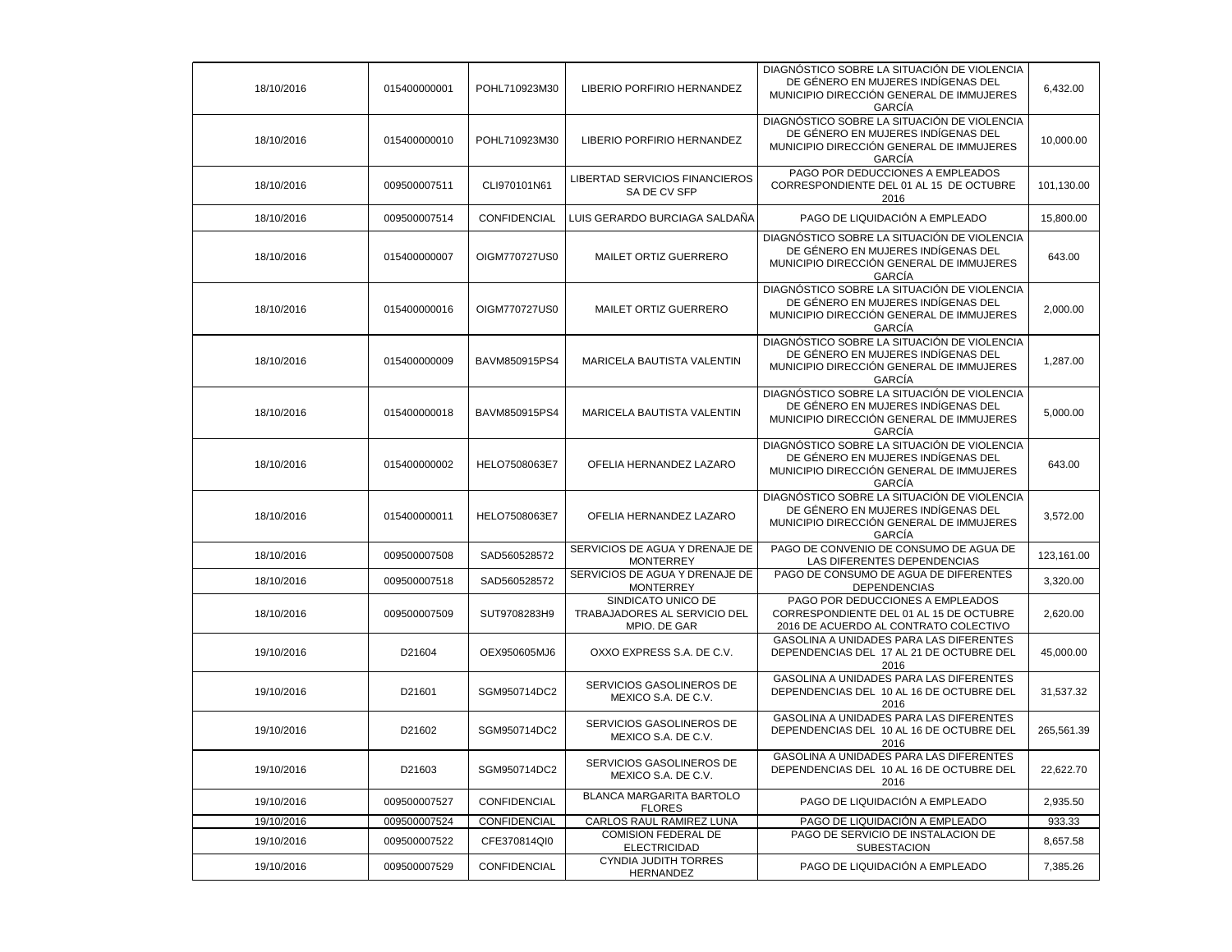| 18/10/2016 | 015400000001 | POHL710923M30 | LIBERIO PORFIRIO HERNANDEZ                                         | DIAGNÓSTICO SOBRE LA SITUACIÓN DE VIOLENCIA<br>DE GÉNERO EN MUJERES INDIGENAS DEL<br>MUNICIPIO DIRECCIÓN GENERAL DE IMMUJERES<br>GARCÍA        | 6,432.00   |
|------------|--------------|---------------|--------------------------------------------------------------------|------------------------------------------------------------------------------------------------------------------------------------------------|------------|
| 18/10/2016 | 015400000010 | POHL710923M30 | LIBERIO PORFIRIO HERNANDEZ                                         | DIAGNÓSTICO SOBRE LA SITUACIÓN DE VIOLENCIA<br>DE GÉNERO EN MUJERES INDIGENAS DEL<br>MUNICIPIO DIRECCIÓN GENERAL DE IMMUJERES<br><b>GARCIA</b> | 10,000.00  |
| 18/10/2016 | 009500007511 | CLI970101N61  | LIBERTAD SERVICIOS FINANCIEROS<br>SA DE CV SFP                     | PAGO POR DEDUCCIONES A EMPLEADOS<br>CORRESPONDIENTE DEL 01 AL 15 DE OCTUBRE<br>2016                                                            | 101,130.00 |
| 18/10/2016 | 009500007514 | CONFIDENCIAL  | LUIS GERARDO BURCIAGA SALDAÑA                                      | PAGO DE LIQUIDACIÓN A EMPLEADO                                                                                                                 | 15,800.00  |
| 18/10/2016 | 015400000007 | OIGM770727US0 | MAILET ORTIZ GUERRERO                                              | DIAGNÓSTICO SOBRE LA SITUACIÓN DE VIOLENCIA<br>DE GÉNERO EN MUJERES INDÍGENAS DEL<br>MUNICIPIO DIRECCIÓN GENERAL DE IMMUJERES<br>GARCÍA        | 643.00     |
| 18/10/2016 | 015400000016 | OIGM770727US0 | MAILET ORTIZ GUERRERO                                              | DIAGNÓSTICO SOBRE LA SITUACIÓN DE VIOLENCIA<br>DE GÉNERO EN MUJERES INDÍGENAS DEL<br>MUNICIPIO DIRECCIÓN GENERAL DE IMMUJERES<br><b>GARCIA</b> | 2,000.00   |
| 18/10/2016 | 015400000009 | BAVM850915PS4 | MARICELA BAUTISTA VALENTIN                                         | DIAGNÓSTICO SOBRE LA SITUACIÓN DE VIOLENCIA<br>DE GÉNERO EN MUJERES INDÍGENAS DEL<br>MUNICIPIO DIRECCIÓN GENERAL DE IMMUJERES<br><b>GARCIA</b> | 1,287.00   |
| 18/10/2016 | 015400000018 | BAVM850915PS4 | MARICELA BAUTISTA VALENTIN                                         | DIAGNÓSTICO SOBRE LA SITUACIÓN DE VIOLENCIA<br>DE GÉNERO EN MUJERES INDÍGENAS DEL<br>MUNICIPIO DIRECCIÓN GENERAL DE IMMUJERES<br><b>GARCIA</b> | 5,000.00   |
| 18/10/2016 | 015400000002 | HELO7508063E7 | OFELIA HERNANDEZ LAZARO                                            | DIAGNÓSTICO SOBRE LA SITUACIÓN DE VIOLENCIA<br>DE GÉNERO EN MUJERES INDÍGENAS DEL<br>MUNICIPIO DIRECCIÓN GENERAL DE IMMUJERES<br><b>GARCIA</b> | 643.00     |
| 18/10/2016 | 015400000011 | HELO7508063E7 | OFELIA HERNANDEZ LAZARO                                            | DIAGNÓSTICO SOBRE LA SITUACIÓN DE VIOLENCIA<br>DE GÉNERO EN MUJERES INDÍGENAS DEL<br>MUNICIPIO DIRECCIÓN GENERAL DE IMMUJERES<br>GARCÍA        | 3,572.00   |
| 18/10/2016 | 009500007508 | SAD560528572  | SERVICIOS DE AGUA Y DRENAJE DE<br><b>MONTERREY</b>                 | PAGO DE CONVENIO DE CONSUMO DE AGUA DE<br>LAS DIFERENTES DEPENDENCIAS                                                                          | 123,161.00 |
| 18/10/2016 | 009500007518 | SAD560528572  | SERVICIOS DE AGUA Y DRENAJE DE<br><b>MONTERREY</b>                 | PAGO DE CONSUMO DE AGUA DE DIFERENTES<br><b>DEPENDENCIAS</b>                                                                                   | 3,320.00   |
| 18/10/2016 | 009500007509 | SUT9708283H9  | SINDICATO UNICO DE<br>TRABAJADORES AL SERVICIO DEL<br>MPIO. DE GAR | PAGO POR DEDUCCIONES A EMPLEADOS<br>CORRESPONDIENTE DEL 01 AL 15 DE OCTUBRE<br>2016 DE ACUERDO AL CONTRATO COLECTIVO                           | 2,620.00   |
| 19/10/2016 | D21604       | OEX950605MJ6  | OXXO EXPRESS S.A. DE C.V.                                          | GASOLINA A UNIDADES PARA LAS DIFERENTES<br>DEPENDENCIAS DEL 17 AL 21 DE OCTUBRE DEL<br>2016                                                    | 45,000.00  |
| 19/10/2016 | D21601       | SGM950714DC2  | SERVICIOS GASOLINEROS DE<br>MEXICO S.A. DE C.V.                    | GASOLINA A UNIDADES PARA LAS DIFERENTES<br>DEPENDENCIAS DEL 10 AL 16 DE OCTUBRE DEL<br>2016                                                    | 31,537.32  |
| 19/10/2016 | D21602       | SGM950714DC2  | SERVICIOS GASOLINEROS DE<br>MEXICO S.A. DE C.V.                    | GASOLINA A UNIDADES PARA LAS DIFERENTES<br>DEPENDENCIAS DEL 10 AL 16 DE OCTUBRE DEL<br>2016                                                    | 265,561.39 |
| 19/10/2016 | D21603       | SGM950714DC2  | SERVICIOS GASOLINEROS DE<br>MEXICO S.A. DE C.V.                    | GASOLINA A UNIDADES PARA LAS DIFERENTES<br>DEPENDENCIAS DEL 10 AL 16 DE OCTUBRE DEL<br>2016                                                    | 22,622.70  |
| 19/10/2016 | 009500007527 | CONFIDENCIAL  | BLANCA MARGARITA BARTOLO<br><b>FLORES</b>                          | PAGO DE LIQUIDACIÓN A EMPLEADO                                                                                                                 | 2,935.50   |
| 19/10/2016 | 009500007524 | CONFIDENCIAL  | CARLOS RAUL RAMIREZ LUNA                                           | PAGO DE LIQUIDACIÓN A EMPLEADO                                                                                                                 | 933.33     |
| 19/10/2016 | 009500007522 | CFE370814QI0  | <b>COMISION FEDERAL DE</b><br><b>ELECTRICIDAD</b>                  | PAGO DE SERVICIO DE INSTALACION DE<br><b>SUBESTACION</b>                                                                                       | 8,657.58   |
| 19/10/2016 | 009500007529 | CONFIDENCIAL  | <b>CYNDIA JUDITH TORRES</b><br>HERNANDEZ                           | PAGO DE LIQUIDACIÓN A EMPLEADO                                                                                                                 | 7,385.26   |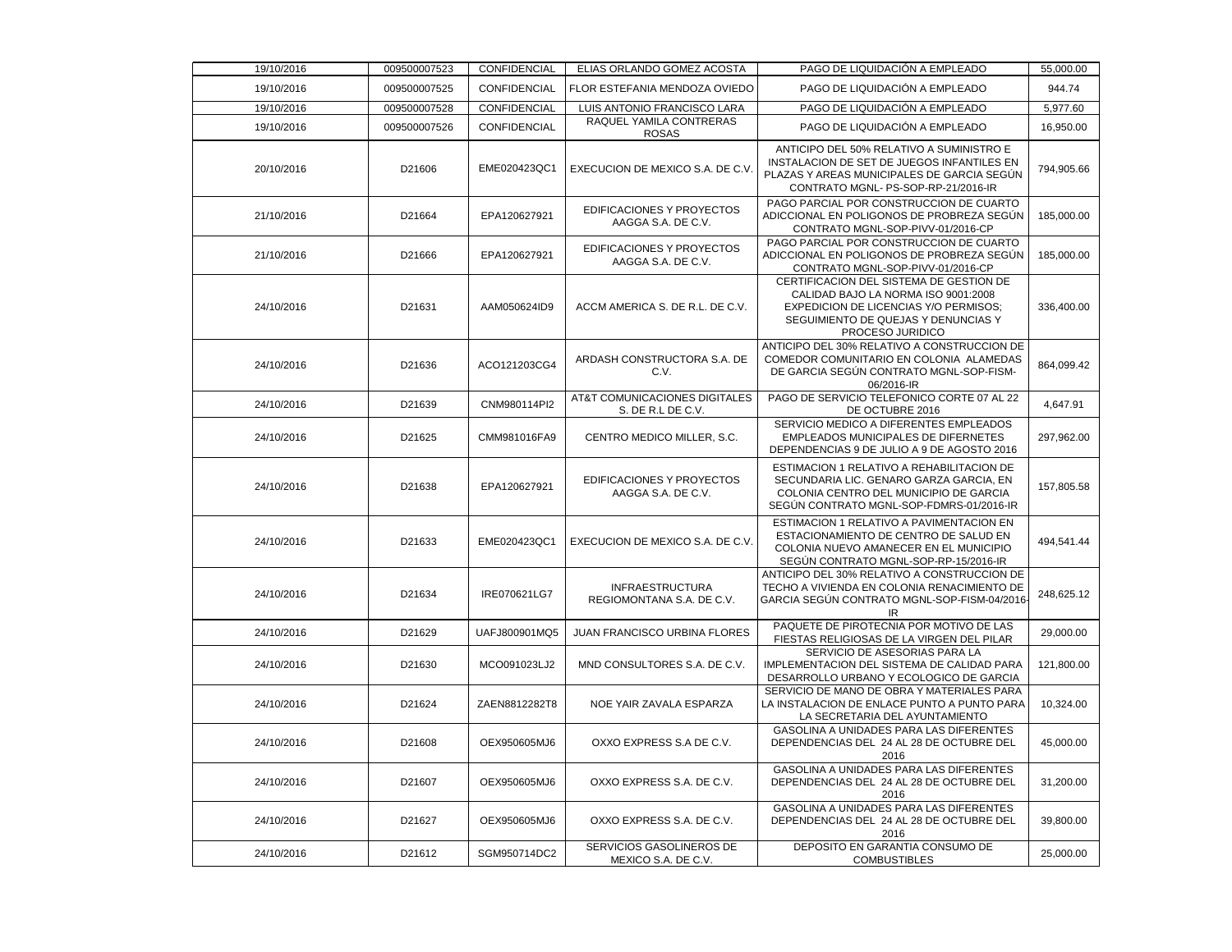| 19/10/2016 | 009500007523 | CONFIDENCIAL  | ELIAS ORLANDO GOMEZ ACOSTA                          | PAGO DE LIQUIDACIÓN A EMPLEADO                                                                                                                                                     | 55,000.00  |
|------------|--------------|---------------|-----------------------------------------------------|------------------------------------------------------------------------------------------------------------------------------------------------------------------------------------|------------|
| 19/10/2016 | 009500007525 | CONFIDENCIAL  | FLOR ESTEFANIA MENDOZA OVIEDO                       | PAGO DE LIQUIDACIÓN A EMPLEADO                                                                                                                                                     | 944.74     |
| 19/10/2016 | 009500007528 | CONFIDENCIAL  | LUIS ANTONIO FRANCISCO LARA                         | PAGO DE LIQUIDACIÓN A EMPLEADO                                                                                                                                                     | 5,977.60   |
| 19/10/2016 | 009500007526 | CONFIDENCIAL  | RAQUEL YAMILA CONTRERAS<br><b>ROSAS</b>             | PAGO DE LIQUIDACIÓN A EMPLEADO                                                                                                                                                     | 16,950.00  |
| 20/10/2016 | D21606       | EME020423QC1  | EXECUCION DE MEXICO S.A. DE C.V.                    | ANTICIPO DEL 50% RELATIVO A SUMINISTRO E<br>INSTALACION DE SET DE JUEGOS INFANTILES EN<br>PLAZAS Y AREAS MUNICIPALES DE GARCIA SEGÚN<br>CONTRATO MGNL- PS-SOP-RP-21/2016-IR        | 794,905.66 |
| 21/10/2016 | D21664       | EPA120627921  | EDIFICACIONES Y PROYECTOS<br>AAGGA S.A. DE C.V.     | PAGO PARCIAL POR CONSTRUCCION DE CUARTO<br>ADICCIONAL EN POLIGONOS DE PROBREZA SEGÚN<br>CONTRATO MGNL-SOP-PIVV-01/2016-CP                                                          | 185,000.00 |
| 21/10/2016 | D21666       | EPA120627921  | EDIFICACIONES Y PROYECTOS<br>AAGGA S.A. DE C.V.     | PAGO PARCIAL POR CONSTRUCCION DE CUARTO<br>ADICCIONAL EN POLIGONOS DE PROBREZA SEGÚN<br>CONTRATO MGNL-SOP-PIVV-01/2016-CP                                                          | 185,000.00 |
| 24/10/2016 | D21631       | AAM050624ID9  | ACCM AMERICA S. DE R.L. DE C.V.                     | CERTIFICACION DEL SISTEMA DE GESTION DE<br>CALIDAD BAJO LA NORMA ISO 9001:2008<br>EXPEDICION DE LICENCIAS Y/O PERMISOS;<br>SEGUIMIENTO DE QUEJAS Y DENUNCIAS Y<br>PROCESO JURIDICO | 336,400.00 |
| 24/10/2016 | D21636       | ACO121203CG4  | ARDASH CONSTRUCTORA S.A. DE<br>C.V.                 | ANTICIPO DEL 30% RELATIVO A CONSTRUCCION DE<br>COMEDOR COMUNITARIO EN COLONIA ALAMEDAS<br>DE GARCIA SEGÚN CONTRATO MGNL-SOP-FISM-<br>06/2016-IR                                    | 864,099.42 |
| 24/10/2016 | D21639       | CNM980114Pl2  | AT&T COMUNICACIONES DIGITALES<br>S. DE R.L DE C.V.  | PAGO DE SERVICIO TELEFONICO CORTE 07 AL 22<br>DE OCTUBRE 2016                                                                                                                      | 4,647.91   |
| 24/10/2016 | D21625       | CMM981016FA9  | CENTRO MEDICO MILLER, S.C.                          | SERVICIO MEDICO A DIFERENTES EMPLEADOS<br>EMPLEADOS MUNICIPALES DE DIFERNETES<br>DEPENDENCIAS 9 DE JULIO A 9 DE AGOSTO 2016                                                        | 297,962.00 |
| 24/10/2016 | D21638       | EPA120627921  | EDIFICACIONES Y PROYECTOS<br>AAGGA S.A. DE C.V.     | ESTIMACION 1 RELATIVO A REHABILITACION DE<br>SECUNDARIA LIC. GENARO GARZA GARCIA, EN<br>COLONIA CENTRO DEL MUNICIPIO DE GARCIA<br>SEGÚN CONTRATO MGNL-SOP-FDMRS-01/2016-IR         | 157,805.58 |
| 24/10/2016 | D21633       | EME020423QC1  | EXECUCION DE MEXICO S.A. DE C.V.                    | ESTIMACION 1 RELATIVO A PAVIMENTACION EN<br>ESTACIONAMIENTO DE CENTRO DE SALUD EN<br>COLONIA NUEVO AMANECER EN EL MUNICIPIO<br>SEGÚN CONTRATO MGNL-SOP-RP-15/2016-IR               | 494,541.44 |
| 24/10/2016 | D21634       | IRE070621LG7  | <b>INFRAESTRUCTURA</b><br>REGIOMONTANA S.A. DE C.V. | ANTICIPO DEL 30% RELATIVO A CONSTRUCCION DE<br>TECHO A VIVIENDA EN COLONIA RENACIMIENTO DE<br>GARCIA SEGÚN CONTRATO MGNL-SOP-FISM-04/2016-<br>IR                                   | 248,625.12 |
| 24/10/2016 | D21629       | UAFJ800901MQ5 | <b>JUAN FRANCISCO URBINA FLORES</b>                 | PAQUETE DE PIROTECNIA POR MOTIVO DE LAS<br>FIESTAS RELIGIOSAS DE LA VIRGEN DEL PILAR                                                                                               | 29,000.00  |
| 24/10/2016 | D21630       | MCO091023LJ2  | MND CONSULTORES S.A. DE C.V.                        | SERVICIO DE ASESORIAS PARA LA<br>IMPLEMENTACION DEL SISTEMA DE CALIDAD PARA<br>DESARROLLO URBANO Y ECOLOGICO DE GARCIA                                                             | 121,800.00 |
| 24/10/2016 | D21624       | ZAEN8812282T8 | NOE YAIR ZAVALA ESPARZA                             | SERVICIO DE MANO DE OBRA Y MATERIALES PARA<br>LA INSTALACION DE ENLACE PUNTO A PUNTO PARA<br>LA SECRETARIA DEL AYUNTAMIENTO                                                        | 10,324.00  |
| 24/10/2016 | D21608       | OEX950605MJ6  | OXXO EXPRESS S.A DE C.V.                            | GASOLINA A UNIDADES PARA LAS DIFERENTES<br>DEPENDENCIAS DEL 24 AL 28 DE OCTUBRE DEL<br>2016                                                                                        | 45,000.00  |
| 24/10/2016 | D21607       | OEX950605MJ6  | OXXO EXPRESS S.A. DE C.V.                           | GASOLINA A UNIDADES PARA LAS DIFERENTES<br>DEPENDENCIAS DEL 24 AL 28 DE OCTUBRE DEL<br>2016                                                                                        | 31,200.00  |
| 24/10/2016 | D21627       | OEX950605MJ6  | OXXO EXPRESS S.A. DE C.V.                           | GASOLINA A UNIDADES PARA LAS DIFERENTES<br>DEPENDENCIAS DEL 24 AL 28 DE OCTUBRE DEL<br>2016                                                                                        | 39,800.00  |
| 24/10/2016 | D21612       | SGM950714DC2  | SERVICIOS GASOLINEROS DE<br>MEXICO S.A. DE C.V.     | DEPOSITO EN GARANTIA CONSUMO DE<br><b>COMBUSTIBLES</b>                                                                                                                             | 25,000.00  |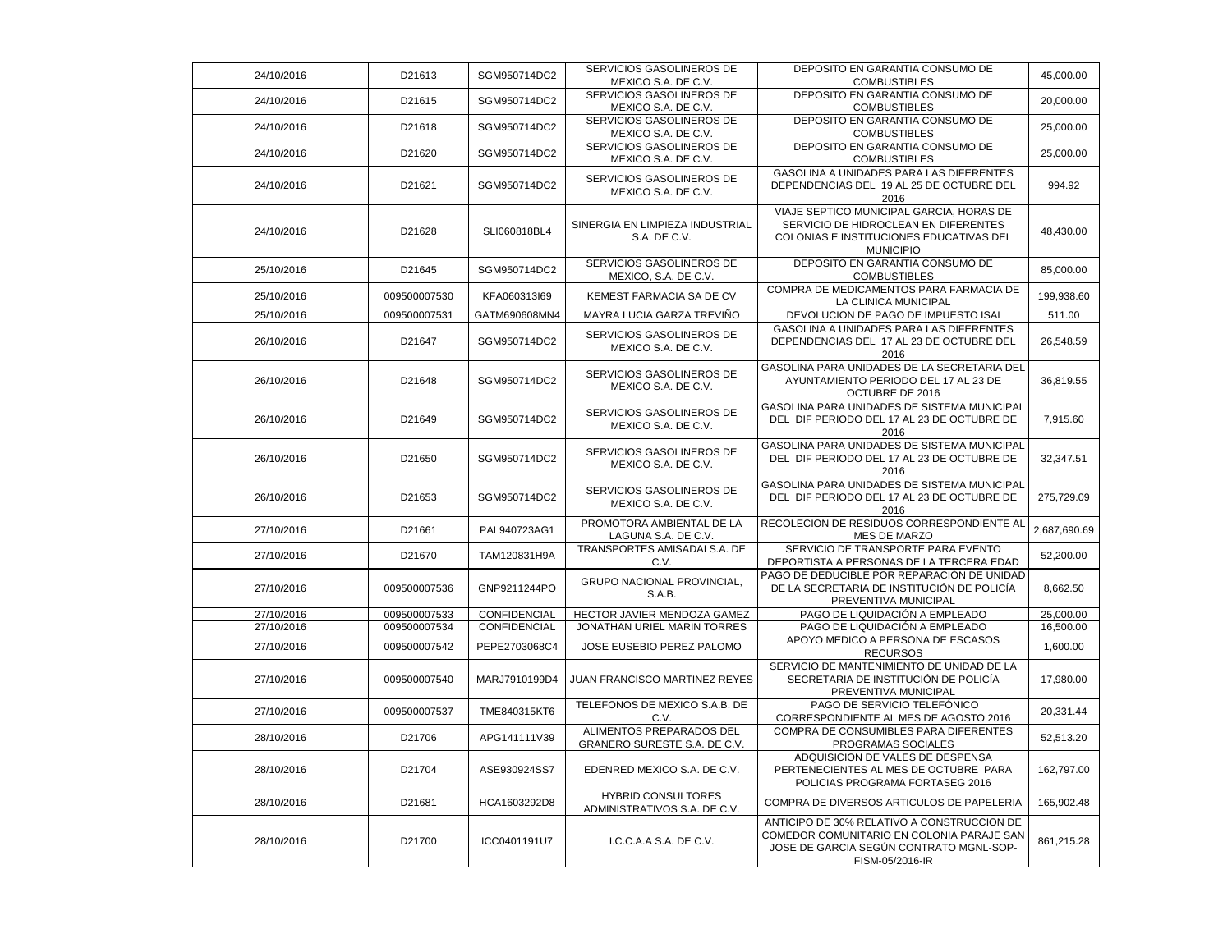| 24/10/2016 | D21613       | SGM950714DC2  | SERVICIOS GASOLINEROS DE<br>MEXICO S.A. DE C.V.           | DEPOSITO EN GARANTIA CONSUMO DE<br><b>COMBUSTIBLES</b>                                                                                                | 45,000.00    |
|------------|--------------|---------------|-----------------------------------------------------------|-------------------------------------------------------------------------------------------------------------------------------------------------------|--------------|
| 24/10/2016 | D21615       | SGM950714DC2  | SERVICIOS GASOLINEROS DE<br>MEXICO S.A. DE C.V.           | DEPOSITO EN GARANTIA CONSUMO DE<br><b>COMBUSTIBLES</b>                                                                                                | 20,000.00    |
| 24/10/2016 | D21618       | SGM950714DC2  | SERVICIOS GASOLINEROS DE<br>MEXICO S.A. DE C.V.           | DEPOSITO EN GARANTIA CONSUMO DE<br><b>COMBUSTIBLES</b>                                                                                                | 25,000.00    |
| 24/10/2016 | D21620       | SGM950714DC2  | SERVICIOS GASOLINEROS DE<br>MEXICO S.A. DE C.V.           | DEPOSITO EN GARANTIA CONSUMO DE<br><b>COMBUSTIBLES</b>                                                                                                | 25,000.00    |
| 24/10/2016 | D21621       | SGM950714DC2  | SERVICIOS GASOLINEROS DE<br>MEXICO S.A. DE C.V.           | GASOLINA A UNIDADES PARA LAS DIFERENTES<br>DEPENDENCIAS DEL 19 AL 25 DE OCTUBRE DEL<br>2016                                                           | 994.92       |
| 24/10/2016 | D21628       | SLI060818BL4  | SINERGIA EN LIMPIEZA INDUSTRIAL<br>S.A. DE C.V.           | VIAJE SEPTICO MUNICIPAL GARCIA, HORAS DE<br>SERVICIO DE HIDROCLEAN EN DIFERENTES<br>COLONIAS E INSTITUCIONES EDUCATIVAS DEL<br><b>MUNICIPIO</b>       | 48,430.00    |
| 25/10/2016 | D21645       | SGM950714DC2  | SERVICIOS GASOLINEROS DE<br>MEXICO, S.A. DE C.V.          | DEPOSITO EN GARANTIA CONSUMO DE<br><b>COMBUSTIBLES</b>                                                                                                | 85,000.00    |
| 25/10/2016 | 009500007530 | KFA060313l69  | KEMEST FARMACIA SA DE CV                                  | COMPRA DE MEDICAMENTOS PARA FARMACIA DE<br>LA CLINICA MUNICIPAL                                                                                       | 199,938.60   |
| 25/10/2016 | 009500007531 | GATM690608MN4 | MAYRA LUCIA GARZA TREVIÑO                                 | DEVOLUCION DE PAGO DE IMPUESTO ISAI                                                                                                                   | 511.00       |
| 26/10/2016 | D21647       | SGM950714DC2  | SERVICIOS GASOLINEROS DE<br>MEXICO S.A. DE C.V.           | GASOLINA A UNIDADES PARA LAS DIFERENTES<br>DEPENDENCIAS DEL 17 AL 23 DE OCTUBRE DEL<br>2016                                                           | 26,548.59    |
| 26/10/2016 | D21648       | SGM950714DC2  | SERVICIOS GASOLINEROS DE<br>MEXICO S.A. DE C.V.           | GASOLINA PARA UNIDADES DE LA SECRETARIA DEL<br>AYUNTAMIENTO PERIODO DEL 17 AL 23 DE<br>OCTUBRE DE 2016                                                | 36,819.55    |
| 26/10/2016 | D21649       | SGM950714DC2  | SERVICIOS GASOLINEROS DE<br>MEXICO S.A. DE C.V.           | GASOLINA PARA UNIDADES DE SISTEMA MUNICIPAL<br>DEL DIF PERIODO DEL 17 AL 23 DE OCTUBRE DE<br>2016                                                     | 7,915.60     |
| 26/10/2016 | D21650       | SGM950714DC2  | SERVICIOS GASOLINEROS DE<br>MEXICO S.A. DE C.V.           | GASOLINA PARA UNIDADES DE SISTEMA MUNICIPAL<br>DEL DIF PERIODO DEL 17 AL 23 DE OCTUBRE DE<br>2016                                                     | 32,347.51    |
| 26/10/2016 | D21653       | SGM950714DC2  | SERVICIOS GASOLINEROS DE<br>MEXICO S.A. DE C.V.           | GASOLINA PARA UNIDADES DE SISTEMA MUNICIPAL<br>DEL DIF PERIODO DEL 17 AL 23 DE OCTUBRE DE<br>2016                                                     | 275,729.09   |
| 27/10/2016 | D21661       | PAL940723AG1  | PROMOTORA AMBIENTAL DE LA<br>LAGUNA S.A. DE C.V.          | RECOLECION DE RESIDUOS CORRESPONDIENTE AL<br><b>MES DE MARZO</b>                                                                                      | 2.687.690.69 |
| 27/10/2016 | D21670       | TAM120831H9A  | TRANSPORTES AMISADAI S.A. DE<br>C.V.                      | SERVICIO DE TRANSPORTE PARA EVENTO<br>DEPORTISTA A PERSONAS DE LA TERCERA EDAD                                                                        | 52,200.00    |
| 27/10/2016 | 009500007536 | GNP9211244PO  | GRUPO NACIONAL PROVINCIAL,<br>S.A.B.                      | PAGO DE DEDUCIBLE POR REPARACIÓN DE UNIDAD<br>DE LA SECRETARIA DE INSTITUCIÓN DE POLICÍA<br>PREVENTIVA MUNICIPAL                                      | 8,662.50     |
| 27/10/2016 | 009500007533 | CONFIDENCIAL  | HECTOR JAVIER MENDOZA GAMEZ                               | PAGO DE LIQUIDACIÓN A EMPLEADO                                                                                                                        | 25,000.00    |
| 27/10/2016 | 009500007534 | CONFIDENCIAL  | JONATHAN URIEL MARIN TORRES                               | PAGO DE LIQUIDACIÓN A EMPLEADO                                                                                                                        | 16,500.00    |
| 27/10/2016 | 009500007542 | PEPE2703068C4 | JOSE EUSEBIO PEREZ PALOMO                                 | APOYO MEDICO A PERSONA DE ESCASOS<br><b>RECURSOS</b>                                                                                                  | 1,600.00     |
| 27/10/2016 | 009500007540 | MARJ7910199D4 | JUAN FRANCISCO MARTINEZ REYES                             | SERVICIO DE MANTENIMIENTO DE UNIDAD DE LA<br>SECRETARIA DE INSTITUCIÓN DE POLICÍA<br>PREVENTIVA MUNICIPAL                                             | 17,980.00    |
| 27/10/2016 | 009500007537 | TME840315KT6  | TELEFONOS DE MEXICO S.A.B. DE<br>C.V.                     | PAGO DE SERVICIO TELEFÓNICO<br>CORRESPONDIENTE AL MES DE AGOSTO 2016                                                                                  | 20,331.44    |
| 28/10/2016 | D21706       | APG141111V39  | ALIMENTOS PREPARADOS DEL<br>GRANERO SURESTE S.A. DE C.V.  | COMPRA DE CONSUMIBLES PARA DIFERENTES<br>PROGRAMAS SOCIALES                                                                                           | 52,513.20    |
| 28/10/2016 | D21704       | ASE930924SS7  | EDENRED MEXICO S.A. DE C.V.                               | ADQUISICION DE VALES DE DESPENSA<br>PERTENECIENTES AL MES DE OCTUBRE PARA<br>POLICIAS PROGRAMA FORTASEG 2016                                          | 162,797.00   |
| 28/10/2016 | D21681       | HCA1603292D8  | <b>HYBRID CONSULTORES</b><br>ADMINISTRATIVOS S.A. DE C.V. | COMPRA DE DIVERSOS ARTICULOS DE PAPELERIA                                                                                                             | 165,902.48   |
| 28/10/2016 | D21700       | ICC0401191U7  | I.C.C.A.A S.A. DE C.V.                                    | ANTICIPO DE 30% RELATIVO A CONSTRUCCION DE<br>COMEDOR COMUNITARIO EN COLONIA PARAJE SAN<br>JOSE DE GARCIA SEGÚN CONTRATO MGNL-SOP-<br>FISM-05/2016-IR | 861,215.28   |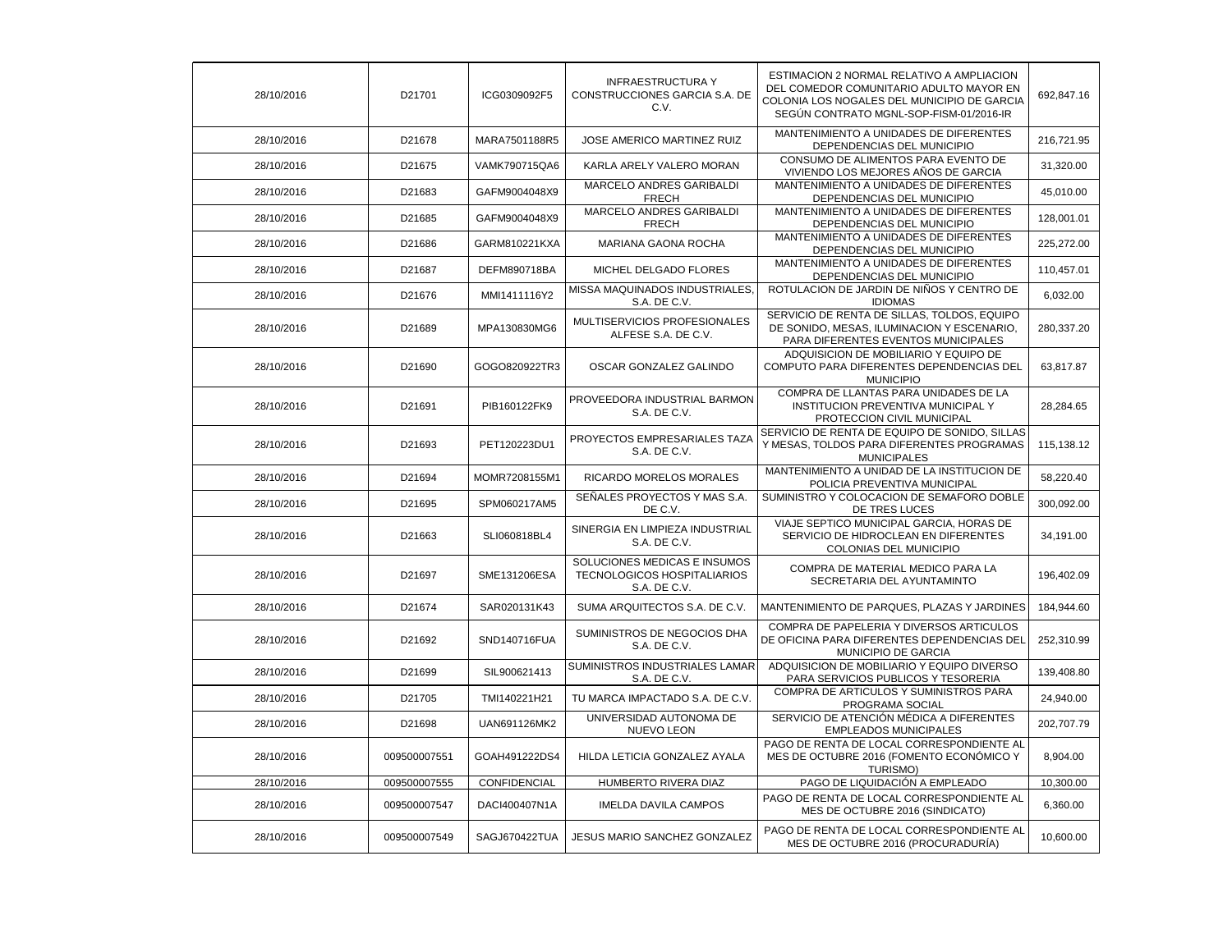| 28/10/2016 | D21701       | ICG0309092F5  | <b>INFRAESTRUCTURA Y</b><br>CONSTRUCCIONES GARCIA S.A. DE<br>C.V.                  | ESTIMACION 2 NORMAL RELATIVO A AMPLIACION<br>DEL COMEDOR COMUNITARIO ADULTO MAYOR EN<br>COLONIA LOS NOGALES DEL MUNICIPIO DE GARCIA<br>SEGÚN CONTRATO MGNL-SOP-FISM-01/2016-IR | 692.847.16 |
|------------|--------------|---------------|------------------------------------------------------------------------------------|--------------------------------------------------------------------------------------------------------------------------------------------------------------------------------|------------|
| 28/10/2016 | D21678       | MARA7501188R5 | JOSE AMERICO MARTINEZ RUIZ                                                         | MANTENIMIENTO A UNIDADES DE DIFERENTES<br>DEPENDENCIAS DEL MUNICIPIO                                                                                                           | 216,721.95 |
| 28/10/2016 | D21675       | VAMK790715QA6 | KARLA ARELY VALERO MORAN                                                           | CONSUMO DE ALIMENTOS PARA EVENTO DE<br>VIVIENDO LOS MEJORES AÑOS DE GARCIA                                                                                                     | 31,320.00  |
| 28/10/2016 | D21683       | GAFM9004048X9 | MARCELO ANDRES GARIBALDI<br><b>FRECH</b>                                           | MANTENIMIENTO A UNIDADES DE DIFERENTES<br>DEPENDENCIAS DEL MUNICIPIO                                                                                                           | 45,010.00  |
| 28/10/2016 | D21685       | GAFM9004048X9 | <b>MARCELO ANDRES GARIBALDI</b><br><b>FRECH</b>                                    | MANTENIMIENTO A UNIDADES DE DIFERENTES<br>DEPENDENCIAS DEL MUNICIPIO                                                                                                           | 128,001.01 |
| 28/10/2016 | D21686       | GARM810221KXA | MARIANA GAONA ROCHA                                                                | MANTENIMIENTO A UNIDADES DE DIFERENTES<br>DEPENDENCIAS DEL MUNICIPIO                                                                                                           | 225,272.00 |
| 28/10/2016 | D21687       | DEFM890718BA  | MICHEL DELGADO FLORES                                                              | MANTENIMIENTO A UNIDADES DE DIFERENTES<br>DEPENDENCIAS DEL MUNICIPIO                                                                                                           | 110,457.01 |
| 28/10/2016 | D21676       | MMI1411116Y2  | MISSA MAQUINADOS INDUSTRIALES<br>S.A. DE C.V.                                      | ROTULACION DE JARDIN DE NIÑOS Y CENTRO DE<br><b>IDIOMAS</b>                                                                                                                    | 6,032.00   |
| 28/10/2016 | D21689       | MPA130830MG6  | MULTISERVICIOS PROFESIONALES<br>ALFESE S.A. DE C.V.                                | SERVICIO DE RENTA DE SILLAS, TOLDOS, EQUIPO<br>DE SONIDO, MESAS, ILUMINACION Y ESCENARIO,<br>PARA DIFERENTES EVENTOS MUNICIPALES                                               | 280,337.20 |
| 28/10/2016 | D21690       | GOGO820922TR3 | OSCAR GONZALEZ GALINDO                                                             | ADQUISICION DE MOBILIARIO Y EQUIPO DE<br>COMPUTO PARA DIFERENTES DEPENDENCIAS DEL<br><b>MUNICIPIO</b>                                                                          | 63,817.87  |
| 28/10/2016 | D21691       | PIB160122FK9  | PROVEEDORA INDUSTRIAL BARMON<br>S.A. DE C.V.                                       | COMPRA DE LLANTAS PARA UNIDADES DE LA<br>INSTITUCION PREVENTIVA MUNICIPAL Y<br>PROTECCION CIVIL MUNICIPAL                                                                      | 28,284.65  |
| 28/10/2016 | D21693       | PET120223DU1  | PROYECTOS EMPRESARIALES TAZA<br>S.A. DE C.V.                                       | SERVICIO DE RENTA DE EQUIPO DE SONIDO, SILLAS<br>Y MESAS, TOLDOS PARA DIFERENTES PROGRAMAS<br><b>MUNICIPALES</b>                                                               | 115,138.12 |
| 28/10/2016 | D21694       | MOMR7208155M1 | RICARDO MORELOS MORALES                                                            | MANTENIMIENTO A UNIDAD DE LA INSTITUCION DE<br>POLICIA PREVENTIVA MUNICIPAL                                                                                                    | 58,220.40  |
| 28/10/2016 | D21695       | SPM060217AM5  | SEÑALES PROYECTOS Y MAS S.A.<br>DE C.V.                                            | SUMINISTRO Y COLOCACION DE SEMAFORO DOBLE<br>DE TRES LUCES                                                                                                                     | 300,092.00 |
| 28/10/2016 | D21663       | SLI060818BL4  | SINERGIA EN LIMPIEZA INDUSTRIAL<br>S.A. DE C.V.                                    | VIAJE SEPTICO MUNICIPAL GARCIA, HORAS DE<br>SERVICIO DE HIDROCLEAN EN DIFERENTES<br>COLONIAS DEL MUNICIPIO                                                                     | 34,191.00  |
| 28/10/2016 | D21697       | SME131206ESA  | SOLUCIONES MEDICAS E INSUMOS<br><b>TECNOLOGICOS HOSPITALIARIOS</b><br>S.A. DE C.V. | COMPRA DE MATERIAL MEDICO PARA LA<br>SECRETARIA DEL AYUNTAMINTO                                                                                                                | 196,402.09 |
| 28/10/2016 | D21674       | SAR020131K43  | SUMA ARQUITECTOS S.A. DE C.V.                                                      | MANTENIMIENTO DE PARQUES, PLAZAS Y JARDINES                                                                                                                                    | 184,944.60 |
| 28/10/2016 | D21692       | SND140716FUA  | SUMINISTROS DE NEGOCIOS DHA<br>S.A. DE C.V.                                        | COMPRA DE PAPELERIA Y DIVERSOS ARTICULOS<br>DE OFICINA PARA DIFERENTES DEPENDENCIAS DEL<br>MUNICIPIO DE GARCIA                                                                 | 252,310.99 |
| 28/10/2016 | D21699       | SIL900621413  | SUMINISTROS INDUSTRIALES LAMAR<br>S.A. DE C.V.                                     | ADQUISICION DE MOBILIARIO Y EQUIPO DIVERSO<br>PARA SERVICIOS PUBLICOS Y TESORERIA                                                                                              | 139,408.80 |
| 28/10/2016 | D21705       | TMI140221H21  | TU MARCA IMPACTADO S.A. DE C.V.                                                    | COMPRA DE ARTICULOS Y SUMINISTROS PARA<br>PROGRAMA SOCIAL                                                                                                                      | 24,940.00  |
| 28/10/2016 | D21698       | UAN691126MK2  | UNIVERSIDAD AUTONOMA DE<br><b>NUEVO LEON</b>                                       | SERVICIO DE ATENCIÓN MÉDICA A DIFERENTES<br><b>EMPLEADOS MUNICIPALES</b>                                                                                                       | 202,707.79 |
| 28/10/2016 | 009500007551 | GOAH491222DS4 | HILDA LETICIA GONZALEZ AYALA                                                       | PAGO DE RENTA DE LOCAL CORRESPONDIENTE AL<br>MES DE OCTUBRE 2016 (FOMENTO ECONÓMICO Y<br>TURISMO)                                                                              | 8,904.00   |
| 28/10/2016 | 009500007555 | CONFIDENCIAL  | HUMBERTO RIVERA DIAZ                                                               | PAGO DE LIQUIDACIÓN A EMPLEADO                                                                                                                                                 | 10,300.00  |
| 28/10/2016 | 009500007547 | DACI400407N1A | <b>IMELDA DAVILA CAMPOS</b>                                                        | PAGO DE RENTA DE LOCAL CORRESPONDIENTE AL<br>MES DE OCTUBRE 2016 (SINDICATO)                                                                                                   | 6,360.00   |
| 28/10/2016 | 009500007549 | SAGJ670422TUA | JESUS MARIO SANCHEZ GONZALEZ                                                       | PAGO DE RENTA DE LOCAL CORRESPONDIENTE AL<br>MES DE OCTUBRE 2016 (PROCURADURÍA)                                                                                                | 10,600.00  |